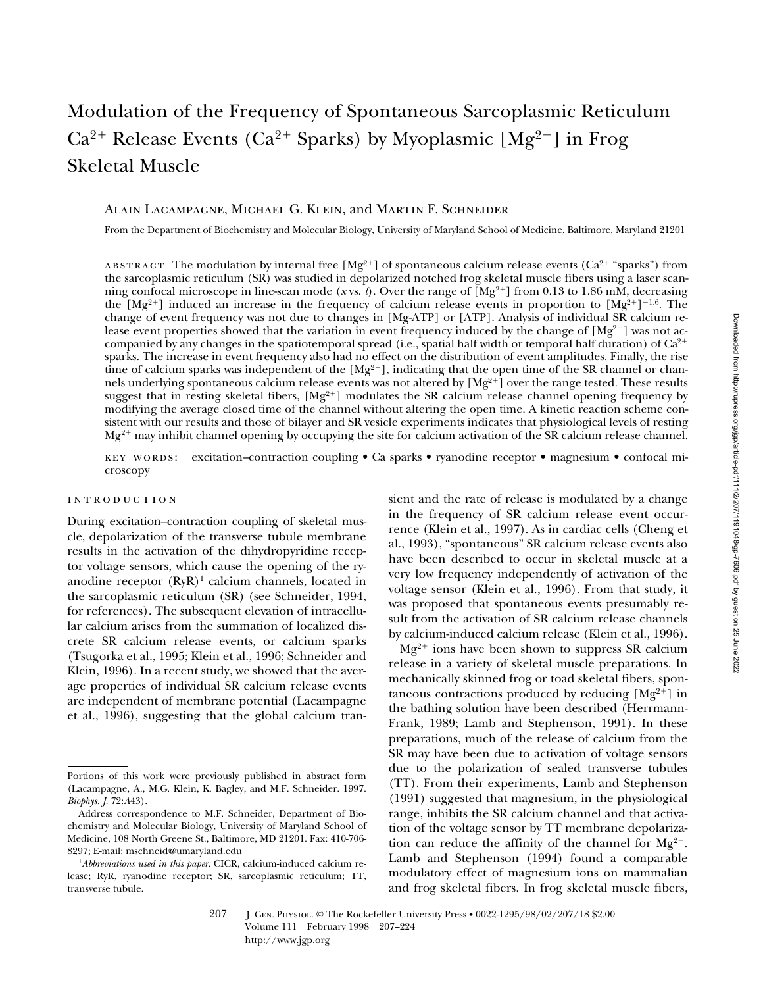# Modulation of the Frequency of Spontaneous Sarcoplasmic Reticulum  $Ca^{2+}$  Release Events ( $Ca^{2+}$  Sparks) by Myoplasmic [Mg<sup>2+</sup>] in Frog Skeletal Muscle

#### Alain Lacampagne, Michael G. Klein, and Martin F. Schneider

From the Department of Biochemistry and Molecular Biology, University of Maryland School of Medicine, Baltimore, Maryland 21201

ABSTRACT The modulation by internal free  $[Mg^{2+}]$  of spontaneous calcium release events (Ca<sup>2+</sup> "sparks") from the sarcoplasmic reticulum (SR) was studied in depolarized notched frog skeletal muscle fibers using a laser scanning confocal microscope in line-scan mode (*x* vs. *t*). Over the range of  $\left[\text{Mg}^{2+}\right]$  from 0.13 to 1.86 mM, decreasing the  $[Mg^{2+}]$  induced an increase in the frequency of calcium release events in proportion to  $[Mg^{2+}]^{-1.6}$ . The change of event frequency was not due to changes in [Mg-ATP] or [ATP]. Analysis of individual SR calcium release event properties showed that the variation in event frequency induced by the change of  $[Mg^{2+}]$  was not accompanied by any changes in the spatiotemporal spread (i.e., spatial half width or temporal half duration) of  $Ca^{2+}$ sparks. The increase in event frequency also had no effect on the distribution of event amplitudes. Finally, the rise time of calcium sparks was independent of the  $[Mg^{2+}]$ , indicating that the open time of the SR channel or channels underlying spontaneous calcium release events was not altered by [Mg<sup>2+</sup>] over the range tested. These results suggest that in resting skeletal fibers,  $[Mg^{2+}]$  modulates the SR calcium release channel opening frequency by modifying the average closed time of the channel without altering the open time. A kinetic reaction scheme consistent with our results and those of bilayer and SR vesicle experiments indicates that physiological levels of resting  $Mg^{2+}$  may inhibit channel opening by occupying the site for calcium activation of the SR calcium release channel.

key words: excitation–contraction coupling • Ca sparks • ryanodine receptor • magnesium • confocal microscopy

#### introduction

During excitation–contraction coupling of skeletal muscle, depolarization of the transverse tubule membrane results in the activation of the dihydropyridine receptor voltage sensors, which cause the opening of the ryanodine receptor  $(RyR)^1$  calcium channels, located in the sarcoplasmic reticulum (SR) (see Schneider, 1994, for references). The subsequent elevation of intracellular calcium arises from the summation of localized discrete SR calcium release events, or calcium sparks (Tsugorka et al., 1995; Klein et al., 1996; Schneider and Klein, 1996). In a recent study, we showed that the average properties of individual SR calcium release events are independent of membrane potential (Lacampagne et al., 1996), suggesting that the global calcium tran-

sient and the rate of release is modulated by a change in the frequency of SR calcium release event occurrence (Klein et al., 1997). As in cardiac cells (Cheng et al., 1993), "spontaneous" SR calcium release events also have been described to occur in skeletal muscle at a very low frequency independently of activation of the voltage sensor (Klein et al., 1996). From that study, it was proposed that spontaneous events presumably result from the activation of SR calcium release channels by calcium-induced calcium release (Klein et al., 1996).

 $Mg^{2+}$  ions have been shown to suppress SR calcium release in a variety of skeletal muscle preparations. In mechanically skinned frog or toad skeletal fibers, spontaneous contractions produced by reducing  $[Mg^{2+}]$  in the bathing solution have been described (Herrmann-Frank, 1989; Lamb and Stephenson, 1991). In these preparations, much of the release of calcium from the SR may have been due to activation of voltage sensors due to the polarization of sealed transverse tubules (TT). From their experiments, Lamb and Stephenson (1991) suggested that magnesium, in the physiological range, inhibits the SR calcium channel and that activation of the voltage sensor by TT membrane depolarization can reduce the affinity of the channel for  $Mg^{2+}$ . Lamb and Stephenson (1994) found a comparable modulatory effect of magnesium ions on mammalian and frog skeletal fibers. In frog skeletal muscle fibers,

Portions of this work were previously published in abstract form (Lacampagne, A., M.G. Klein, K. Bagley, and M.F. Schneider. 1997. *Biophys. J.* 72:*A*43).

Address correspondence to M.F. Schneider, Department of Biochemistry and Molecular Biology, University of Maryland School of Medicine, 108 North Greene St., Baltimore, MD 21201. Fax: 410-706- 8297; E-mail: mschneid@umaryland.edu

<sup>1</sup>*Abbreviations used in this paper:* CICR, calcium-induced calcium release; RyR, ryanodine receptor; SR, sarcoplasmic reticulum; TT, transverse tubule.

<sup>207</sup> J. Gen. Physiol. © The Rockefeller University Press • 0022-1295/98/02/207/18 \$2.00 Volume 111 February 1998 207–224 http://www.jgp.org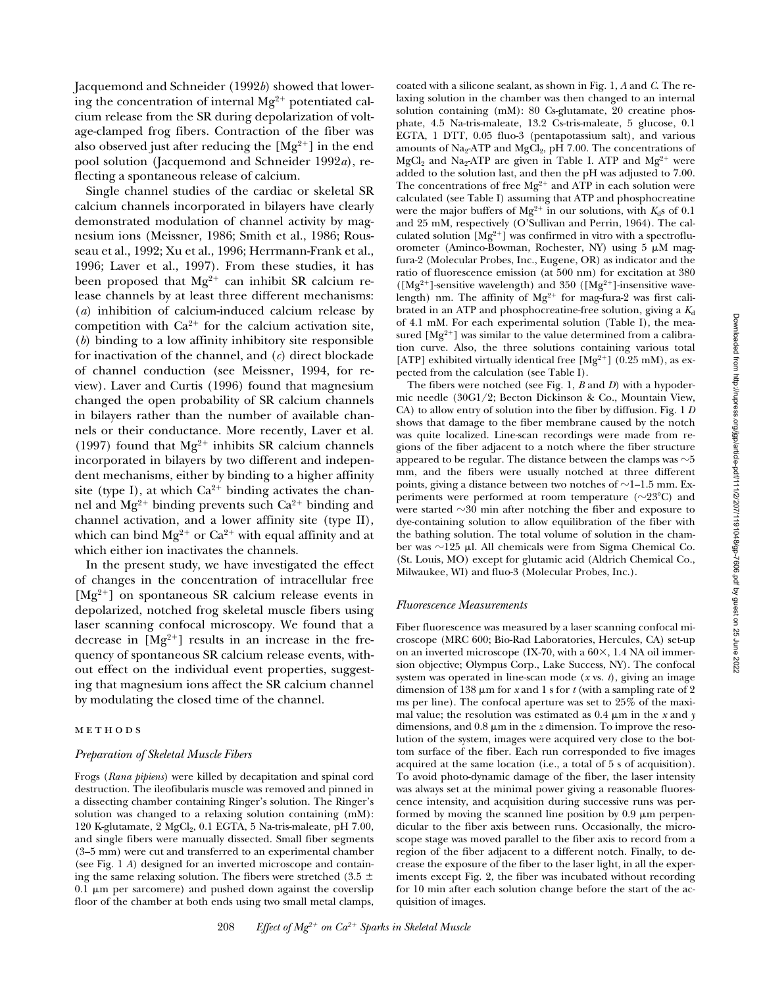Jacquemond and Schneider (1992*b*) showed that lowering the concentration of internal  $Mg^{2+}$  potentiated calcium release from the SR during depolarization of voltage-clamped frog fibers. Contraction of the fiber was also observed just after reducing the  $[Mg^{2+}]$  in the end pool solution (Jacquemond and Schneider 1992*a*), reflecting a spontaneous release of calcium.

Single channel studies of the cardiac or skeletal SR calcium channels incorporated in bilayers have clearly demonstrated modulation of channel activity by magnesium ions (Meissner, 1986; Smith et al., 1986; Rousseau et al., 1992; Xu et al., 1996; Herrmann-Frank et al., 1996; Laver et al., 1997). From these studies, it has been proposed that  $Mg^{2+}$  can inhibit SR calcium release channels by at least three different mechanisms: (*a*) inhibition of calcium-induced calcium release by competition with  $Ca^{2+}$  for the calcium activation site, (*b*) binding to a low affinity inhibitory site responsible for inactivation of the channel, and (*c*) direct blockade of channel conduction (see Meissner, 1994, for review). Laver and Curtis (1996) found that magnesium changed the open probability of SR calcium channels in bilayers rather than the number of available channels or their conductance. More recently, Laver et al. (1997) found that  $Mg^{2+}$  inhibits SR calcium channels incorporated in bilayers by two different and independent mechanisms, either by binding to a higher affinity site (type I), at which  $Ca^{2+}$  binding activates the channel and  $Mg^{2+}$  binding prevents such  $Ca^{2+}$  binding and channel activation, and a lower affinity site (type II), which can bind  $Mg^{2+}$  or Ca<sup>2+</sup> with equal affinity and at which either ion inactivates the channels.

In the present study, we have investigated the effect of changes in the concentration of intracellular free  $[Mg^{2+}]$  on spontaneous SR calcium release events in depolarized, notched frog skeletal muscle fibers using laser scanning confocal microscopy. We found that a decrease in  $[Mg^{2+}]$  results in an increase in the frequency of spontaneous SR calcium release events, without effect on the individual event properties, suggesting that magnesium ions affect the SR calcium channel by modulating the closed time of the channel.

#### methods

#### *Preparation of Skeletal Muscle Fibers*

Frogs (*Rana pipiens*) were killed by decapitation and spinal cord destruction. The ileofibularis muscle was removed and pinned in a dissecting chamber containing Ringer's solution. The Ringer's solution was changed to a relaxing solution containing (mM): 120 K-glutamate, 2 MgCl<sub>2</sub>, 0.1 EGTA, 5 Na-tris-maleate, pH  $7.00$ , and single fibers were manually dissected. Small fiber segments (3–5 mm) were cut and transferred to an experimental chamber (see Fig. 1 *A*) designed for an inverted microscope and containing the same relaxing solution. The fibers were stretched (3.5  $\pm$  $0.\overline{1}$  µm per sarcomere) and pushed down against the coverslip floor of the chamber at both ends using two small metal clamps,

coated with a silicone sealant, as shown in Fig. 1, *A* and *C*. The relaxing solution in the chamber was then changed to an internal solution containing (mM): 80 Cs-glutamate, 20 creatine phosphate, 4.5 Na-tris-maleate, 13.2 Cs-tris-maleate, 5 glucose, 0.1 EGTA, 1 DTT, 0.05 fluo-3 (pentapotassium salt), and various amounts of Na<sub>2</sub>-ATP and MgCl<sub>2</sub>, pH 7.00. The concentrations of  $MgCl<sub>2</sub>$  and Na<sub>2</sub>-ATP are given in Table I. ATP and  $Mg<sup>2+</sup>$  were added to the solution last, and then the pH was adjusted to 7.00. The concentrations of free  $Mg^{2+}$  and ATP in each solution were calculated (see Table I) assuming that ATP and phosphocreatine were the major buffers of  $Mg^{2+}$  in our solutions, with  $K_d$ s of 0.1 and 25 mM, respectively (O'Sullivan and Perrin, 1964). The calculated solution  $[Mg^{2+}]$  was confirmed in vitro with a spectrofluorometer (Aminco-Bowman, Rochester, NY) using 5  $\mu$ M magfura-2 (Molecular Probes, Inc., Eugene, OR) as indicator and the ratio of fluorescence emission (at 500 nm) for excitation at 380 ( $[Mg^{2+}]$ -sensitive wavelength) and 350 ( $[Mg^{2+}]$ -insensitive wavelength) nm. The affinity of  $Mg^{2+}$  for mag-fura-2 was first calibrated in an ATP and phosphocreatine-free solution, giving a  $K_d$ of 4.1 mM. For each experimental solution (Table I), the measured  $[Mg^{2+}]$  was similar to the value determined from a calibration curve. Also, the three solutions containing various total [ATP] exhibited virtually identical free  $[Mg^{2+}]$  (0.25 mM), as expected from the calculation (see Table I).

The fibers were notched (see Fig. 1, *B* and *D*) with a hypodermic needle (30G1/2; Becton Dickinson & Co., Mountain View, CA) to allow entry of solution into the fiber by diffusion. Fig. 1 *D* shows that damage to the fiber membrane caused by the notch was quite localized. Line-scan recordings were made from regions of the fiber adjacent to a notch where the fiber structure appeared to be regular. The distance between the clamps was  $\sim$  5 mm, and the fibers were usually notched at three different points, giving a distance between two notches of  $\sim$ 1–1.5 mm. Experiments were performed at room temperature  $(\sim 23^{\circ}C)$  and were started  $\sim$ 30 min after notching the fiber and exposure to dye-containing solution to allow equilibration of the fiber with the bathing solution. The total volume of solution in the chamber was  $\sim$ 125 µl. All chemicals were from Sigma Chemical Co. (St. Louis, MO) except for glutamic acid (Aldrich Chemical Co., Milwaukee, WI) and fluo-3 (Molecular Probes, Inc.).

#### *Fluorescence Measurements*

Fiber fluorescence was measured by a laser scanning confocal microscope (MRC 600; Bio-Rad Laboratories, Hercules, CA) set-up on an inverted microscope (IX-70, with a  $60\times$ , 1.4 NA oil immersion objective; Olympus Corp., Lake Success, NY). The confocal system was operated in line-scan mode (*x* vs. *t*), giving an image dimension of 138  $\mu$ m for *x* and 1 s for *t* (with a sampling rate of 2 ms per line). The confocal aperture was set to 25% of the maximal value; the resolution was estimated as  $0.4 \mu m$  in the *x* and *y* dimensions, and  $0.8 \mu m$  in the *z* dimension. To improve the resolution of the system, images were acquired very close to the bottom surface of the fiber. Each run corresponded to five images acquired at the same location (i.e., a total of 5 s of acquisition). To avoid photo-dynamic damage of the fiber, the laser intensity was always set at the minimal power giving a reasonable fluorescence intensity, and acquisition during successive runs was performed by moving the scanned line position by  $0.9 \mu m$  perpendicular to the fiber axis between runs. Occasionally, the microscope stage was moved parallel to the fiber axis to record from a region of the fiber adjacent to a different notch. Finally, to decrease the exposure of the fiber to the laser light, in all the experiments except Fig. 2, the fiber was incubated without recording for 10 min after each solution change before the start of the acquisition of images.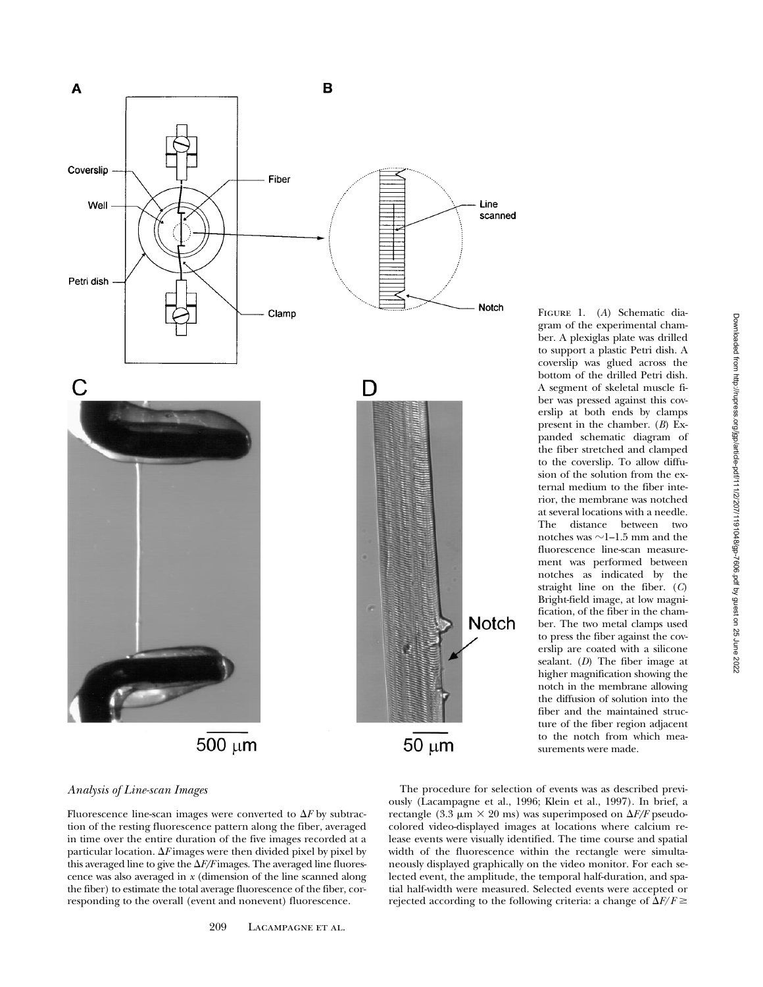

Figure 1. (*A*) Schematic diagram of the experimental chamber. A plexiglas plate was drilled to support a plastic Petri dish. A coverslip was glued across the bottom of the drilled Petri dish. A segment of skeletal muscle fiber was pressed against this coverslip at both ends by clamps present in the chamber. (*B*) Expanded schematic diagram of the fiber stretched and clamped to the coverslip. To allow diffusion of the solution from the external medium to the fiber interior, the membrane was notched at several locations with a needle. The distance between two notches was  $\sim$ 1–1.5 mm and the fluorescence line-scan measurement was performed between notches as indicated by the straight line on the fiber. (*C*) Bright-field image, at low magnification, of the fiber in the chamber. The two metal clamps used to press the fiber against the coverslip are coated with a silicone sealant. (*D*) The fiber image at higher magnification showing the notch in the membrane allowing the diffusion of solution into the fiber and the maintained structure of the fiber region adjacent to the notch from which measurements were made.

#### *Analysis of Line-scan Images*

Fluorescence line-scan images were converted to  $\Delta F$  by subtraction of the resting fluorescence pattern along the fiber, averaged in time over the entire duration of the five images recorded at a particular location.  $\Delta F$  images were then divided pixel by pixel by this averaged line to give the  $\Delta F/F$  images. The averaged line fluorescence was also averaged in *x* (dimension of the line scanned along the fiber) to estimate the total average fluorescence of the fiber, corresponding to the overall (event and nonevent) fluorescence.

The procedure for selection of events was as described previously (Lacampagne et al., 1996; Klein et al., 1997). In brief, a rectangle (3.3  $\mu$ m  $\times$  20 ms) was superimposed on  $\Delta F/F$  pseudocolored video-displayed images at locations where calcium release events were visually identified. The time course and spatial width of the fluorescence within the rectangle were simultaneously displayed graphically on the video monitor. For each selected event, the amplitude, the temporal half-duration, and spatial half-width were measured. Selected events were accepted or rejected according to the following criteria: a change of  $\Delta F/F \ge$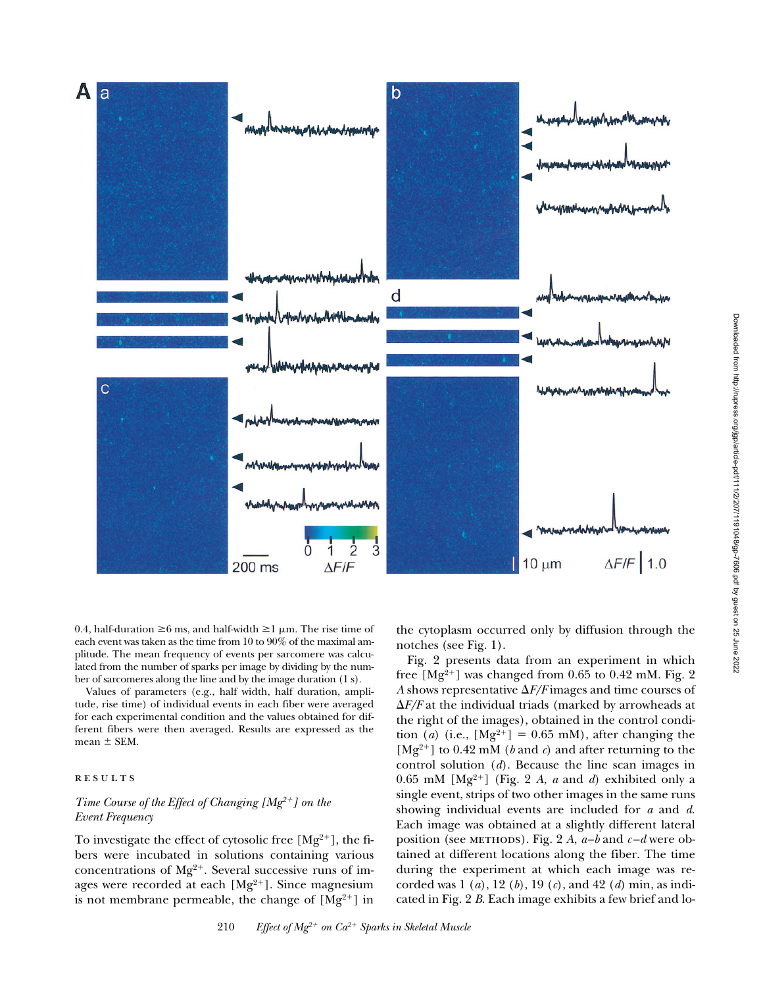

0.4, half-duration  $\geq 6$  ms, and half-width  $\geq 1$  µm. The rise time of each event was taken as the time from 10 to 90% of the maximal amplitude. The mean frequency of events per sarcomere was calculated from the number of sparks per image by dividing by the number of sarcomeres along the line and by the image duration (1 s).

Values of parameters (e.g., half width, half duration, amplitude, rise time) of individual events in each fiber were averaged for each experimental condition and the values obtained for different fibers were then averaged. Results are expressed as the mean  $\pm$  SEM.

#### **RESULTS**

# *Time Course of the Effect of Changing [Mg<sup>2+</sup>] on the Event Frequency*

To investigate the effect of cytosolic free  $[Mg^{2+}]$ , the fibers were incubated in solutions containing various concentrations of  $Mg^{2+}$ . Several successive runs of images were recorded at each  $[Mg^{2+}]$ . Since magnesium is not membrane permeable, the change of  $[Mg^{2+}]$  in

the cytoplasm occurred only by diffusion through the notches (see Fig. 1).

Fig. 2 presents data from an experiment in which free  $[Mg^{2+}]$  was changed from 0.65 to 0.42 mM. Fig. 2 *A* shows representative  $\Delta F/F$  images and time courses of  $\Delta F/F$  at the individual triads (marked by arrowheads at the right of the images), obtained in the control condition (*a*) (i.e.,  $[Mg^{2+}] = 0.65$  mM), after changing the  $[Mg^{2+}]$  to 0.42 mM (*b* and *c*) and after returning to the control solution (*d*). Because the line scan images in 0.65 mM  $[Mg^{2+}]$  (Fig. 2 *A*, *a* and *d*) exhibited only a single event, strips of two other images in the same runs showing individual events are included for *a* and *d*. Each image was obtained at a slightly different lateral position (see METHODS). Fig. 2 *A*,  $a-b$  and  $c-d$  were obtained at different locations along the fiber. The time during the experiment at which each image was recorded was 1 (*a*), 12 (*b*), 19 (*c*), and 42 (*d*) min, as indicated in Fig. 2 *B*. Each image exhibits a few brief and lo-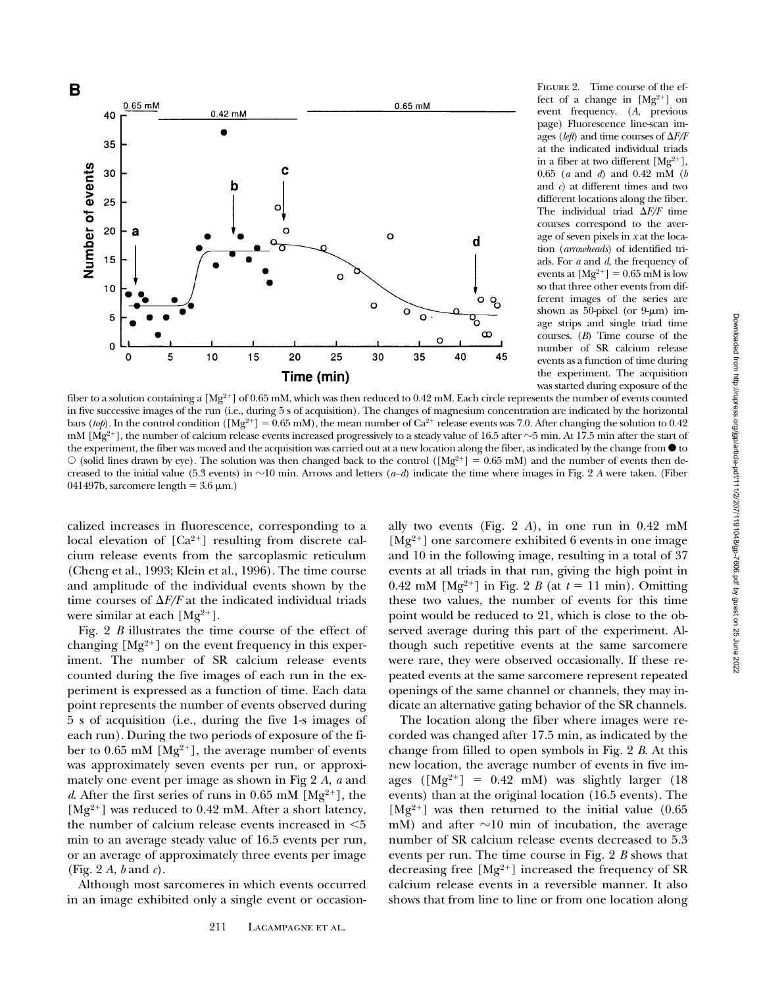

FIGURE 2. Time course of the effect of a change in  $[Mg^{2+}]$  on event frequency. (*A*, previous page) Fluorescence line-scan images (*left*) and time courses of  $\Delta F/F$ at the indicated individual triads in a fiber at two different  $[Mg^{2+}]$ , 0.65 (*a* and *d*) and 0.42 mM (*b* and *c*) at different times and two different locations along the fiber. The individual triad  $\Delta F/F$  time courses correspond to the average of seven pixels in *x* at the location (*arrowheads*) of identified triads. For *a* and *d*, the frequency of events at  $[Mg^{2+}] = 0.65$  mM is low so that three other events from different images of the series are shown as 50-pixel (or  $9-\mu m$ ) image strips and single triad time courses. (*B*) Time course of the number of SR calcium release events as a function of time during the experiment. The acquisition was started during exposure of the

fiber to a solution containing a  $[Mg^{2+}]$  of 0.65 mM, which was then reduced to 0.42 mM. Each circle represents the number of events counted in five successive images of the run (i.e., during 5 s of acquisition). The changes of magnesium concentration are indicated by the horizontal bars (*top*). In the control condition ( $[Mg^{2+}] = 0.65$  mM), the mean number of  $Ca^{2+}$  release events was 7.0. After changing the solution to 0.42 mM [Mg<sup>2+</sup>], the number of calcium release events increased progressively to a steady value of 16.5 after  $\sim$ 5 min. At 17.5 min after the start of the experiment, the fiber was moved and the acquisition was carried out at a new location along the fiber, as indicated by the change from  $\bullet$  to  $\circ$  (solid lines drawn by eye). The solution was then changed back to the control ([Mg<sup>2+</sup>] = 0.65 mM) and the number of events then decreased to the initial value (5.3 events) in  $\sim$ 10 min. Arrows and letters (*a–d*) indicate the time where images in Fig. 2 *A* were taken. (Fiber 041497b, sarcomere length =  $3.6 \mu m$ .)

calized increases in fluorescence, corresponding to a local elevation of  $[Ca^{2+}]$  resulting from discrete calcium release events from the sarcoplasmic reticulum (Cheng et al., 1993; Klein et al., 1996). The time course and amplitude of the individual events shown by the time courses of  $\Delta F/F$  at the indicated individual triads were similar at each  $[Mg^{2+}]$ .

Fig. 2 *B* illustrates the time course of the effect of changing  $[Mg^{2+}]$  on the event frequency in this experiment. The number of SR calcium release events counted during the five images of each run in the experiment is expressed as a function of time. Each data point represents the number of events observed during 5 s of acquisition (i.e., during the five 1-s images of each run). During the two periods of exposure of the fiber to 0.65 mM  $[Mg^{2+}]$ , the average number of events was approximately seven events per run, or approximately one event per image as shown in Fig 2 *A*, *a* and *d*. After the first series of runs in 0.65 mM  $[Mg^{2+}]$ , the  $[Mg^{2+}]$  was reduced to 0.42 mM. After a short latency, the number of calcium release events increased in  $\leq 5$ min to an average steady value of 16.5 events per run, or an average of approximately three events per image (Fig. 2 *A*, *b* and *c*).

Although most sarcomeres in which events occurred in an image exhibited only a single event or occasion-

ally two events (Fig. 2 *A*), in one run in 0.42 mM  $[Mg^{2+}]$  one sarcomere exhibited 6 events in one image and 10 in the following image, resulting in a total of 37 events at all triads in that run, giving the high point in 0.42 mM [Mg<sup>2+</sup>] in Fig. 2 *B* (at  $t = 11$  min). Omitting these two values, the number of events for this time point would be reduced to 21, which is close to the observed average during this part of the experiment. Although such repetitive events at the same sarcomere were rare, they were observed occasionally. If these repeated events at the same sarcomere represent repeated openings of the same channel or channels, they may indicate an alternative gating behavior of the SR channels.

The location along the fiber where images were recorded was changed after 17.5 min, as indicated by the change from filled to open symbols in Fig. 2 *B*. At this new location, the average number of events in five images ( $[Mg^{2+}] = 0.42$  mM) was slightly larger (18) events) than at the original location (16.5 events). The  $[Mg^{2+}]$  was then returned to the initial value (0.65) mM) and after  $\sim$ 10 min of incubation, the average number of SR calcium release events decreased to 5.3 events per run. The time course in Fig. 2 *B* shows that decreasing free  $[Mg^{2+}]$  increased the frequency of SR calcium release events in a reversible manner. It also shows that from line to line or from one location along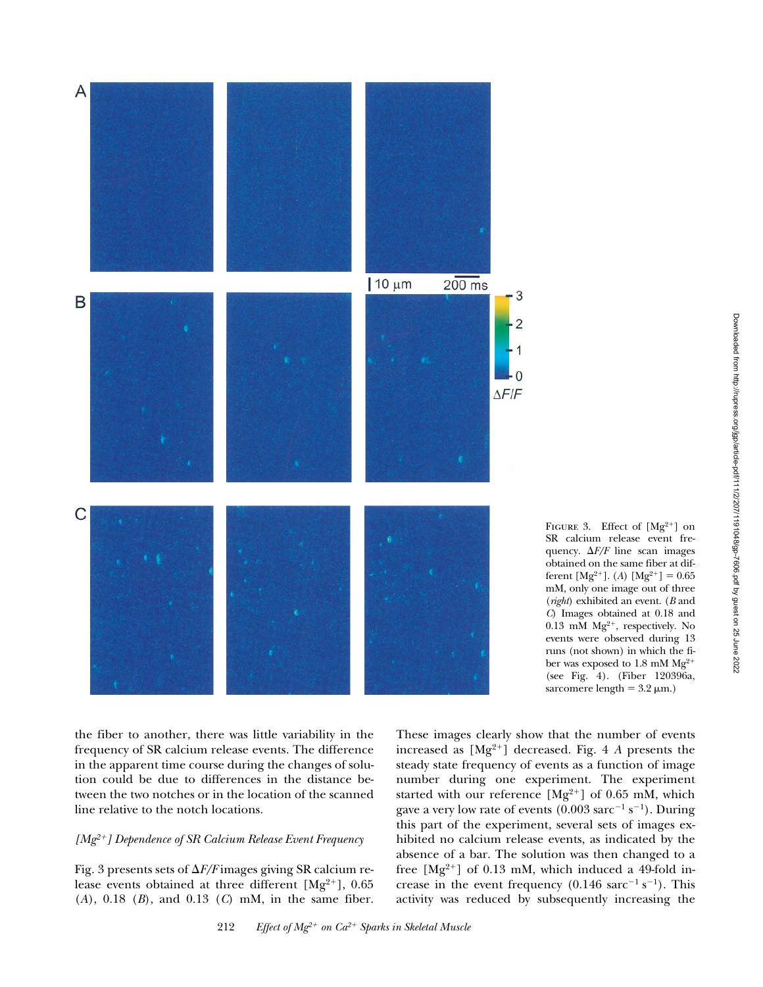

FIGURE 3. Effect of  $[Mg^{2+}]$  on SR calcium release event frequency.  $\Delta F/F$  line scan images obtained on the same fiber at different  $[Mg^{2+}]$ . (*A*)  $[Mg^{2+}] = 0.65$ mM, only one image out of three (*right*) exhibited an event. (*B* and *C*) Images obtained at 0.18 and  $0.13$  mM Mg<sup>2+</sup>, respectively. No events were observed during 13 runs (not shown) in which the fiber was exposed to 1.8 mM Mg<sup>2+</sup> (see Fig. 4). (Fiber 120396a, sarcomere length =  $3.2 \mu m$ .)

the fiber to another, there was little variability in the frequency of SR calcium release events. The difference in the apparent time course during the changes of solution could be due to differences in the distance between the two notches or in the location of the scanned line relative to the notch locations.

# *[Mg2*1*] Dependence of SR Calcium Release Event Frequency*

Fig. 3 presents sets of  $\Delta F/F$  images giving SR calcium release events obtained at three different  $[Mg^{2+}]$ , 0.65 (*A*), 0.18 (*B*), and 0.13 (*C*) mM, in the same fiber. These images clearly show that the number of events increased as  $[Mg^{2+}]$  decreased. Fig. 4 *A* presents the steady state frequency of events as a function of image number during one experiment. The experiment started with our reference  $[Mg^{2+}]$  of 0.65 mM, which gave a very low rate of events  $(0.003 \text{ sarc}^{-1} \text{ s}^{-1})$ . During this part of the experiment, several sets of images exhibited no calcium release events, as indicated by the absence of a bar. The solution was then changed to a free  $[Mg^{2+}]$  of 0.13 mM, which induced a 49-fold increase in the event frequency  $(0.146 \text{ sarc}^{-1} \text{ s}^{-1})$ . This activity was reduced by subsequently increasing the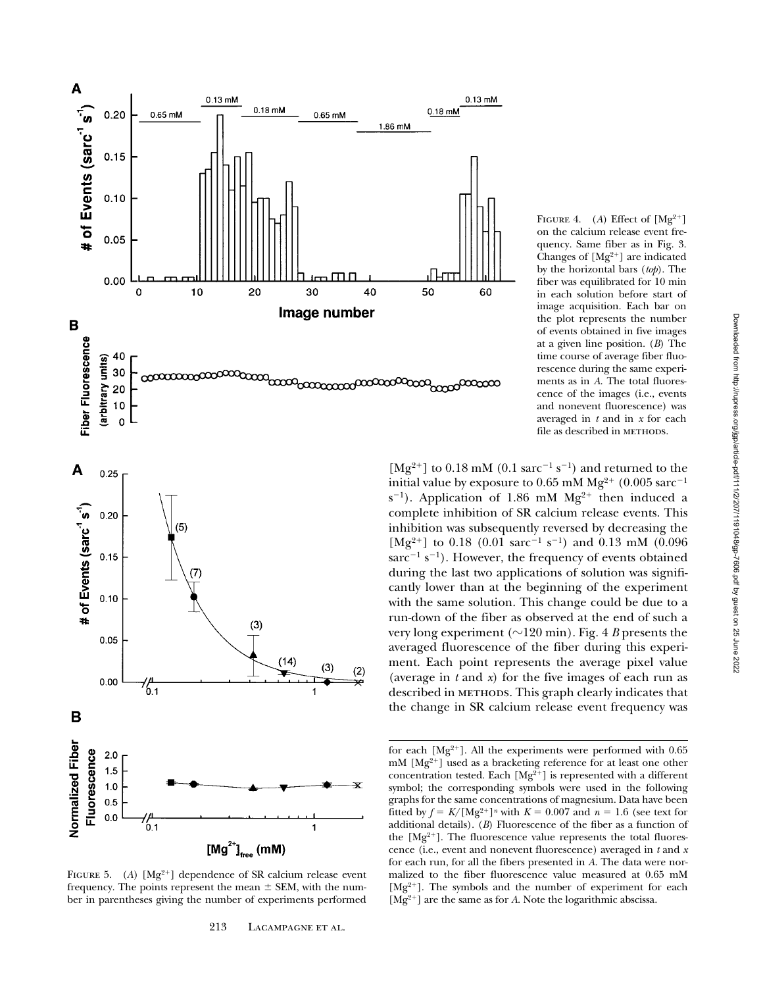



FIGURE 5. (A)  $[Mg^{2+}]$  dependence of SR calcium release event frequency. The points represent the mean  $\pm$  SEM, with the number in parentheses giving the number of experiments performed

FIGURE 4. (A) Effect of  $[Mg^{2+}]$ on the calcium release event frequency. Same fiber as in Fig. 3. Changes of  $[Mg^{2+}]$  are indicated by the horizontal bars (*top*). The fiber was equilibrated for 10 min in each solution before start of image acquisition. Each bar on the plot represents the number of events obtained in five images at a given line position. (*B*) The time course of average fiber fluorescence during the same experiments as in *A*. The total fluorescence of the images (i.e., events and nonevent fluorescence) was averaged in *t* and in *x* for each file as described in METHODS.

 $[Mg^{2+}]$  to 0.18 mM (0.1 sarc<sup>-1</sup> s<sup>-1</sup>) and returned to the initial value by exposure to 0.65 mM  $Mg^{2+}$  (0.005 sarc<sup>-1</sup>  $s^{-1}$ ). Application of 1.86 mM Mg<sup>2+</sup> then induced a complete inhibition of SR calcium release events. This inhibition was subsequently reversed by decreasing the [Mg<sup>2+</sup>] to 0.18 (0.01 sarc<sup>-1</sup> s<sup>-1</sup>) and 0.13 mM (0.096) sarc<sup>-1</sup> s<sup>-1</sup>). However, the frequency of events obtained during the last two applications of solution was significantly lower than at the beginning of the experiment with the same solution. This change could be due to a run-down of the fiber as observed at the end of such a very long experiment ( $\sim$ 120 min). Fig. 4 *B* presents the averaged fluorescence of the fiber during this experiment. Each point represents the average pixel value (average in *t* and *x*) for the five images of each run as described in METHODS. This graph clearly indicates that the change in SR calcium release event frequency was

for each  $[Mg^{2+}]$ . All the experiments were performed with 0.65  $mM$  [Mg<sup>2+</sup>] used as a bracketing reference for at least one other concentration tested. Each  $[Mg^{2+}]$  is represented with a different symbol; the corresponding symbols were used in the following graphs for the same concentrations of magnesium. Data have been fitted by  $f = K/[Mg^{2+}]^n$  with  $K = 0.007$  and  $n = 1.6$  (see text for additional details). (*B*) Fluorescence of the fiber as a function of the  $[Mg^{2+}]$ . The fluorescence value represents the total fluorescence (i.e., event and nonevent fluorescence) averaged in *t* and *x* for each run, for all the fibers presented in *A*. The data were normalized to the fiber fluorescence value measured at 0.65 mM  $[Mg^{2+}]$ . The symbols and the number of experiment for each  $[\rm{Mg^{2+}}]$  are the same as for  $A.$  Note the logarithmic abscissa.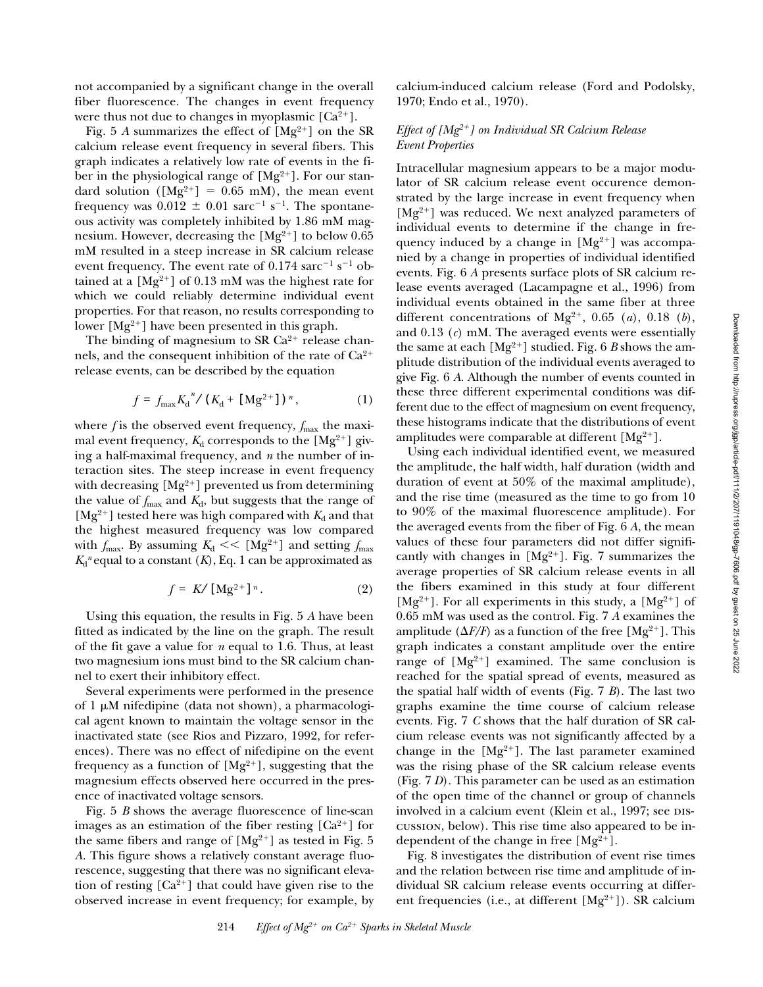not accompanied by a significant change in the overall fiber fluorescence. The changes in event frequency were thus not due to changes in myoplasmic  $[Ca^{2+}].$ 

Fig. 5 *A* summarizes the effect of  $[Mg^{2+}]$  on the SR calcium release event frequency in several fibers. This graph indicates a relatively low rate of events in the fiber in the physiological range of  $[Mg^{2+}]$ . For our standard solution ( $[Mg^{2+}] = 0.65$  mM), the mean event frequency was  $0.012 \pm 0.01$  sarc<sup>-1</sup> s<sup>-1</sup>. The spontaneous activity was completely inhibited by 1.86 mM magnesium. However, decreasing the  $[Mg^{2+}]$  to below 0.65 mM resulted in a steep increase in SR calcium release event frequency. The event rate of  $0.174$  sarc<sup>-1</sup> s<sup>-1</sup> obtained at a  $[Mg^{2+}]$  of 0.13 mM was the highest rate for which we could reliably determine individual event properties. For that reason, no results corresponding to lower  $[Mg^{2+}]$  have been presented in this graph.

The binding of magnesium to SR  $Ca^{2+}$  release channels, and the consequent inhibition of the rate of  $Ca^{2+}$ release events, can be described by the equation

$$
f = f_{\text{max}} K_d^{n} / (K_d + [Mg^{2+}])^{n}, \qquad (1)
$$

where  $f$  is the observed event frequency,  $f_{\text{max}}$  the maximal event frequency,  $K_d$  corresponds to the  $[Mg^{2+}]$  giving a half-maximal frequency, and *n* the number of interaction sites. The steep increase in event frequency with decreasing  $[Mg^{2+}]$  prevented us from determining the value of  $f_{\text{max}}$  and  $K_d$ , but suggests that the range of  $[Mg^{2+}]$  tested here was high compared with  $K_d$  and that the highest measured frequency was low compared with  $f_{\text{max}}$ . By assuming  $K_d \ll [Mg^{2+}]$  and setting  $f_{\text{max}}$  $K<sub>d</sub><sup>n</sup>$  equal to a constant  $(K)$ , Eq. 1 can be approximated as

$$
f = K / \left[ \text{Mg}^{2+} \right]^{n}.
$$
 (2)

Using this equation, the results in Fig. 5 *A* have been fitted as indicated by the line on the graph. The result of the fit gave a value for *n* equal to 1.6. Thus, at least two magnesium ions must bind to the SR calcium channel to exert their inhibitory effect.

Several experiments were performed in the presence of 1  $\mu$ M nifedipine (data not shown), a pharmacological agent known to maintain the voltage sensor in the inactivated state (see Rios and Pizzaro, 1992, for references). There was no effect of nifedipine on the event frequency as a function of  $[Mg^{2+}]$ , suggesting that the magnesium effects observed here occurred in the presence of inactivated voltage sensors.

Fig. 5 *B* shows the average fluorescence of line-scan images as an estimation of the fiber resting  $[Ca^{2+}]$  for the same fibers and range of  $[Mg^{2+}]$  as tested in Fig. 5 *A*. This figure shows a relatively constant average fluorescence, suggesting that there was no significant elevation of resting  $[Ca^{2+}]$  that could have given rise to the observed increase in event frequency; for example, by calcium-induced calcium release (Ford and Podolsky, 1970; Endo et al., 1970).

# *Effect of [Mg2*1*] on Individual SR Calcium Release Event Properties*

Intracellular magnesium appears to be a major modulator of SR calcium release event occurence demonstrated by the large increase in event frequency when  $[Mg^{2+}]$  was reduced. We next analyzed parameters of individual events to determine if the change in frequency induced by a change in  $[Mg^{2+}]$  was accompanied by a change in properties of individual identified events. Fig. 6 *A* presents surface plots of SR calcium release events averaged (Lacampagne et al., 1996) from individual events obtained in the same fiber at three different concentrations of  $Mg^{2+}$ , 0.65 (*a*), 0.18 (*b*), and 0.13 (*c*) mM. The averaged events were essentially the same at each  $[Mg^{2+}]$  studied. Fig. 6 *B* shows the amplitude distribution of the individual events averaged to give Fig. 6 *A*. Although the number of events counted in these three different experimental conditions was different due to the effect of magnesium on event frequency, these histograms indicate that the distributions of event amplitudes were comparable at different  $[Mg^{2+}]$ .

Using each individual identified event, we measured the amplitude, the half width, half duration (width and duration of event at 50% of the maximal amplitude), and the rise time (measured as the time to go from 10 to 90% of the maximal fluorescence amplitude). For the averaged events from the fiber of Fig. 6 *A*, the mean values of these four parameters did not differ significantly with changes in  $[Mg^{2+}]$ . Fig. 7 summarizes the average properties of SR calcium release events in all the fibers examined in this study at four different [Mg<sup>2+</sup>]. For all experiments in this study, a [Mg<sup>2+</sup>] of 0.65 mM was used as the control. Fig. 7 *A* examines the amplitude  $(\Delta F/F)$  as a function of the free [Mg<sup>2+</sup>]. This graph indicates a constant amplitude over the entire range of  $[Mg^{2+}]$  examined. The same conclusion is reached for the spatial spread of events, measured as the spatial half width of events (Fig. 7 *B*). The last two graphs examine the time course of calcium release events. Fig. 7 *C* shows that the half duration of SR calcium release events was not significantly affected by a change in the  $[Mg^{2+}]$ . The last parameter examined was the rising phase of the SR calcium release events (Fig. 7 *D*). This parameter can be used as an estimation of the open time of the channel or group of channels involved in a calcium event (Klein et al., 1997; see DIScussion, below). This rise time also appeared to be independent of the change in free  $[Mg^{2+}]$ .

Fig. 8 investigates the distribution of event rise times and the relation between rise time and amplitude of individual SR calcium release events occurring at different frequencies (i.e., at different  $[Mg^{2+}]$ ). SR calcium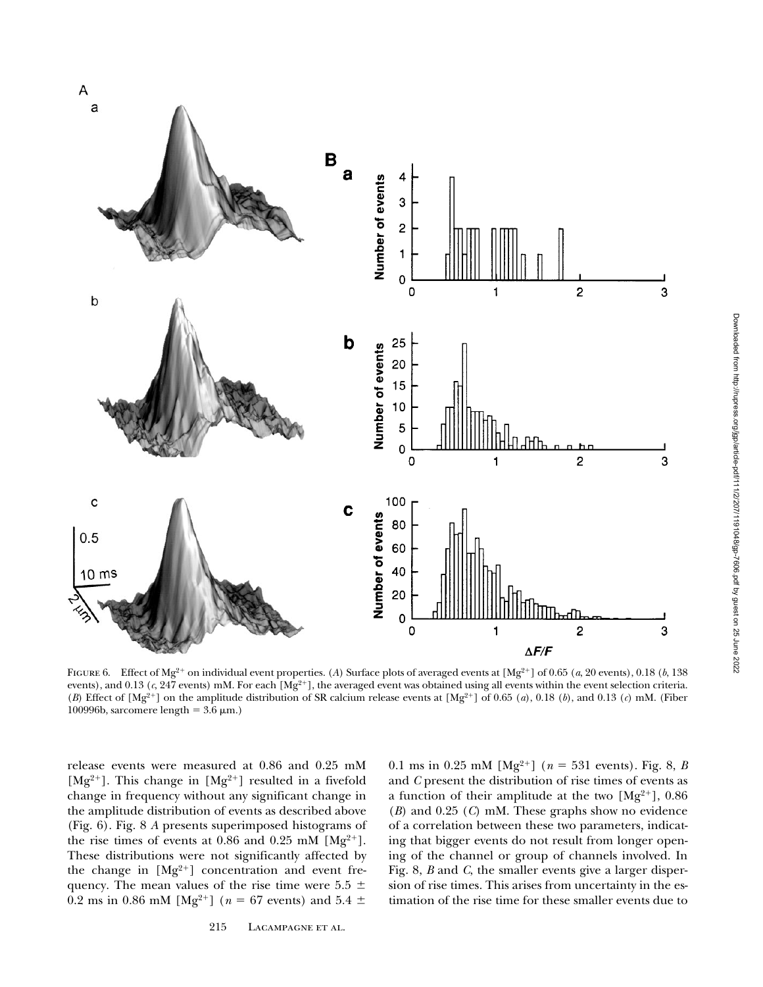

FIGURE 6. Effect of Mg<sup>2+</sup> on individual event properties. (A) Surface plots of averaged events at  $[Mg^{2+}]$  of 0.65 (*a*, 20 events), 0.18 (*b*, 138 events), and 0.13 (c, 247 events) mM. For each [Mg<sup>2+</sup>], the averaged event was obtained using all events within the event selection criteria. (*B*) Effect of  $[Mg^{2+}]$  on the amplitude distribution of SR calcium release events at  $[Mg^{2+}]$  of 0.65 (*a*), 0.18 (*b*), and 0.13 (*c*) mM. (Fiber 100996b, sarcomere length =  $3.6 \mu m$ .)

release events were measured at 0.86 and 0.25 mM [Mg<sup>2+</sup>]. This change in [Mg<sup>2+</sup>] resulted in a fivefold change in frequency without any significant change in the amplitude distribution of events as described above (Fig. 6). Fig. 8 *A* presents superimposed histograms of the rise times of events at 0.86 and 0.25 mM  $[Mg^{2+}]$ . These distributions were not significantly affected by the change in  $[Mg^{2+}]$  concentration and event frequency. The mean values of the rise time were  $5.5 \pm$ 0.2 ms in 0.86 mM [Mg<sup>2+</sup>] ( $n = 67$  events) and 5.4  $\pm$ 

0.1 ms in 0.25 mM [Mg<sup>2+</sup>] ( $n = 531$  events). Fig. 8, *B* and *C* present the distribution of rise times of events as a function of their amplitude at the two  $[Mg^{2+}]$ , 0.86 (*B*) and 0.25 (*C*) mM. These graphs show no evidence of a correlation between these two parameters, indicating that bigger events do not result from longer opening of the channel or group of channels involved. In Fig. 8, *B* and *C*, the smaller events give a larger dispersion of rise times. This arises from uncertainty in the estimation of the rise time for these smaller events due to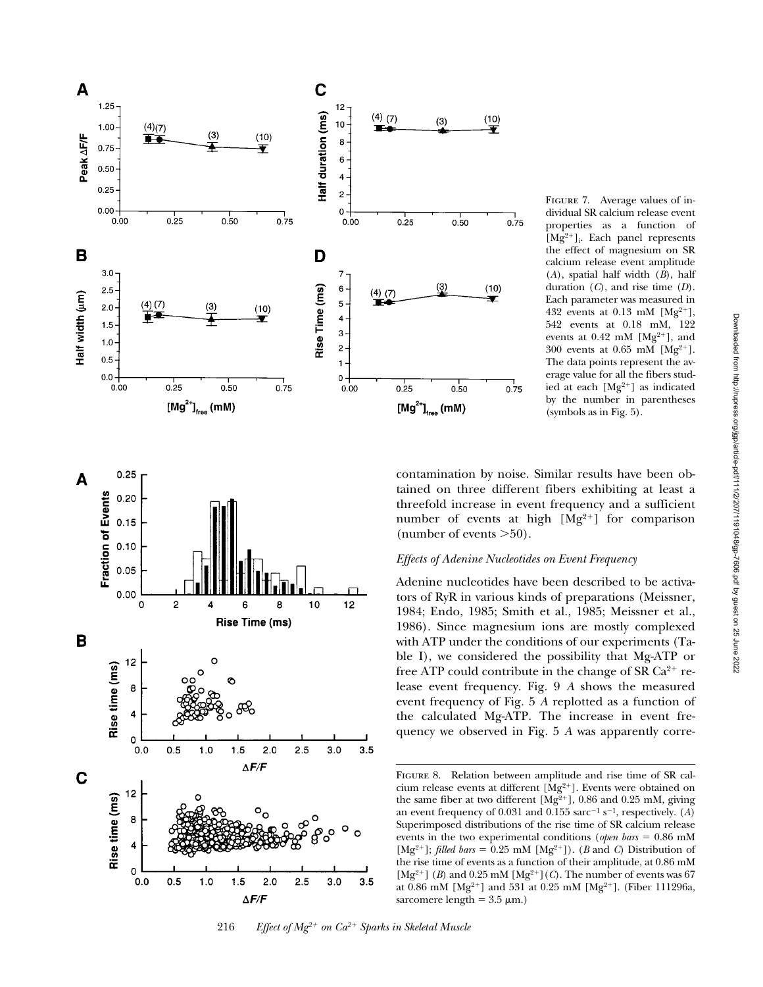



o  $0.0$ 

 $0.5$ 

 $1.0$ 

 $1.5$ 

 $\Delta$ F/F

 $2.0$ 

 $2.5$ 

contamination by noise. Similar results have been obtained on three different fibers exhibiting at least a threefold increase in event frequency and a sufficient number of events at high  $[Mg^{2+}]$  for comparison (number of events  $>50$ ).

(symbols as in Fig. 5).

# *Effects of Adenine Nucleotides on Event Frequency*

 $(10)$ 

Ŧ

 $(10)$ 

 $0.75$ 

 $0.75$ 

Adenine nucleotides have been described to be activators of RyR in various kinds of preparations (Meissner, 1984; Endo, 1985; Smith et al., 1985; Meissner et al., 1986). Since magnesium ions are mostly complexed with ATP under the conditions of our experiments (Table I), we considered the possibility that Mg-ATP or free ATP could contribute in the change of SR  $Ca^{2+}$  release event frequency. Fig. 9 *A* shows the measured event frequency of Fig. 5 *A* replotted as a function of the calculated Mg-ATP. The increase in event frequency we observed in Fig. 5 *A* was apparently corre-

 $3.5$ 

 $3.0$ 

FIGURE 8. Relation between amplitude and rise time of SR calcium release events at different  $[Mg^{2+}]$ . Events were obtained on the same fiber at two different  $[Mg^{2+}]$ , 0.86 and 0.25 mM, giving an event frequency of 0.031 and 0.155 sarc<sup>-1</sup> s<sup>-1</sup>, respectively. (*A*) Superimposed distributions of the rise time of SR calcium release events in the two experimental conditions (*open bars* = 0.86 mM [Mg<sup>2+</sup>]; *filled bars* = 0.25 mM [Mg<sup>2+</sup>]). (*B* and *C*) Distribution of the rise time of events as a function of their amplitude, at 0.86 mM [Mg<sup>2+</sup>] (*B*) and 0.25 mM [Mg<sup>2+</sup>](*C*). The number of events was 67 at 0.86 mM [Mg<sup>2+</sup>] and 531 at 0.25 mM [Mg<sup>2+</sup>]. (Fiber 111296a, sarcomere length =  $3.5 \mu m$ .)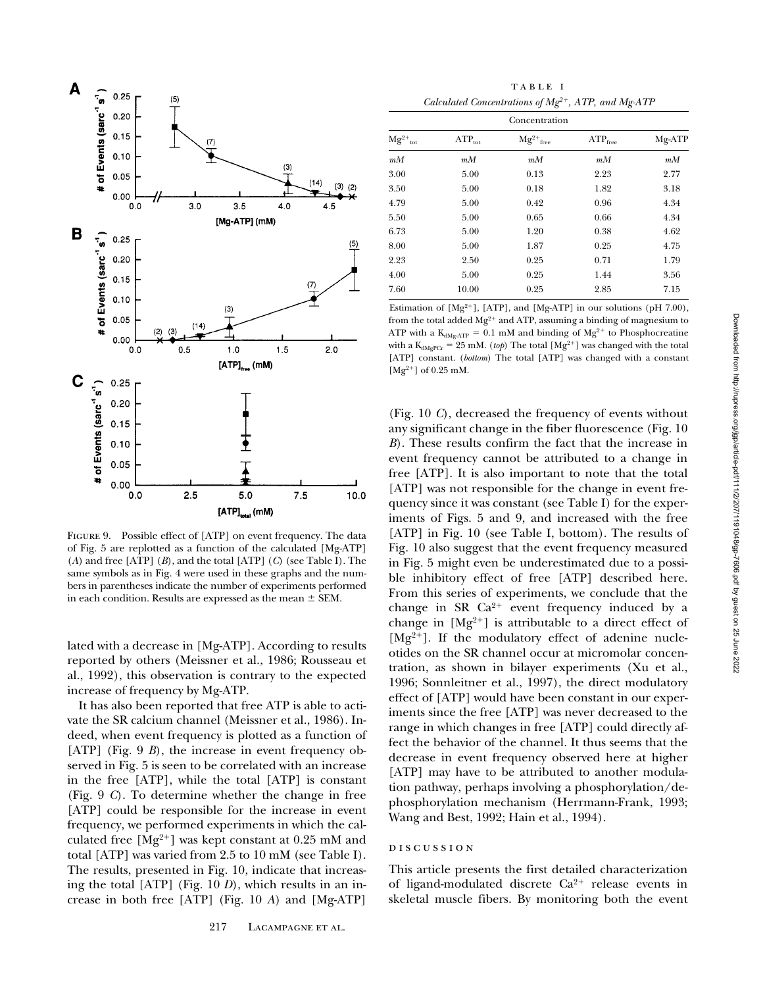

FIGURE 9. Possible effect of [ATP] on event frequency. The data of Fig. 5 are replotted as a function of the calculated [Mg-ATP] (*A*) and free [ATP] (*B*), and the total [ATP] (*C*) (see Table I). The same symbols as in Fig. 4 were used in these graphs and the numbers in parentheses indicate the number of experiments performed in each condition. Results are expressed as the mean  $\pm$  SEM.

lated with a decrease in [Mg-ATP]. According to results reported by others (Meissner et al., 1986; Rousseau et al., 1992), this observation is contrary to the expected increase of frequency by Mg-ATP.

It has also been reported that free ATP is able to activate the SR calcium channel (Meissner et al., 1986). Indeed, when event frequency is plotted as a function of [ATP] (Fig. 9 *B*), the increase in event frequency observed in Fig. 5 is seen to be correlated with an increase in the free [ATP], while the total [ATP] is constant (Fig. 9 *C*). To determine whether the change in free [ATP] could be responsible for the increase in event frequency, we performed experiments in which the calculated free  $[Mg^{2+}]$  was kept constant at 0.25 mM and total [ATP] was varied from 2.5 to 10 mM (see Table I). The results, presented in Fig. 10, indicate that increasing the total [ATP] (Fig. 10 *D*), which results in an increase in both free [ATP] (Fig. 10 *A*) and [Mg-ATP]

table i *Calculated Concentrations of Mg2*1*, ATP, and Mg-ATP*

| Concentration         |                    |                      |              |         |
|-----------------------|--------------------|----------------------|--------------|---------|
| $Mg^{2+}{}_{\rm tot}$ | $ATP_{\text{tot}}$ | $\rm Mg^{2+}_{free}$ | $ATP_{free}$ | Mg-ATP  |
| $m_{1}$               | $m_{1}$            | $m_{1}$              | $m_{1}$      | $m_{1}$ |
| 3.00                  | 5.00               | 0.13                 | 2.23         | 2.77    |
| 3.50                  | 5.00               | 0.18                 | 1.82         | 3.18    |
| 4.79                  | 5.00               | 0.42                 | 0.96         | 4.34    |
| 5.50                  | 5.00               | 0.65                 | 0.66         | 4.34    |
| 6.73                  | 5.00               | 1.20                 | 0.38         | 4.62    |
| 8.00                  | 5.00               | 1.87                 | 0.25         | 4.75    |
| 2.23                  | 2.50               | 0.25                 | 0.71         | 1.79    |
| 4.00                  | 5.00               | 0.25                 | 1.44         | 3.56    |
| 7.60                  | 10.00              | 0.25                 | 2.85         | 7.15    |

Estimation of  $[Mg^{2+}]$ , [ATP], and [Mg-ATP] in our solutions (pH 7.00), from the total added  $Mg^{2+}$  and ATP, assuming a binding of magnesium to ATP with a  $\rm K_{dMgATP}$  = 0.1 mM and binding of  $\rm Mg^{2+}$  to Phosphocreatine with a  $K_{dMgPCr} = 25$  mM. (*top*) The total [Mg<sup>2+</sup>] was changed with the total [ATP] constant. (*bottom*) The total [ATP] was changed with a constant  $[Mg^{2+}]$  of 0.25 mM.

(Fig. 10 *C*), decreased the frequency of events without any significant change in the fiber fluorescence (Fig. 10 *B*). These results confirm the fact that the increase in event frequency cannot be attributed to a change in free [ATP]. It is also important to note that the total [ATP] was not responsible for the change in event frequency since it was constant (see Table I) for the experiments of Figs. 5 and 9, and increased with the free [ATP] in Fig. 10 (see Table I, bottom). The results of Fig. 10 also suggest that the event frequency measured in Fig. 5 might even be underestimated due to a possible inhibitory effect of free [ATP] described here. From this series of experiments, we conclude that the change in SR  $Ca^{2+}$  event frequency induced by a change in  $[Mg^{2+}]$  is attributable to a direct effect of  $[Mg^{2+}]$ . If the modulatory effect of adenine nucleotides on the SR channel occur at micromolar concentration, as shown in bilayer experiments (Xu et al., 1996; Sonnleitner et al., 1997), the direct modulatory effect of [ATP] would have been constant in our experiments since the free [ATP] was never decreased to the range in which changes in free [ATP] could directly affect the behavior of the channel. It thus seems that the decrease in event frequency observed here at higher [ATP] may have to be attributed to another modulation pathway, perhaps involving a phosphorylation/dephosphorylation mechanism (Herrmann-Frank, 1993; Wang and Best, 1992; Hain et al., 1994).

#### DISCUSSION

This article presents the first detailed characterization of ligand-modulated discrete  $Ca^{2+}$  release events in skeletal muscle fibers. By monitoring both the event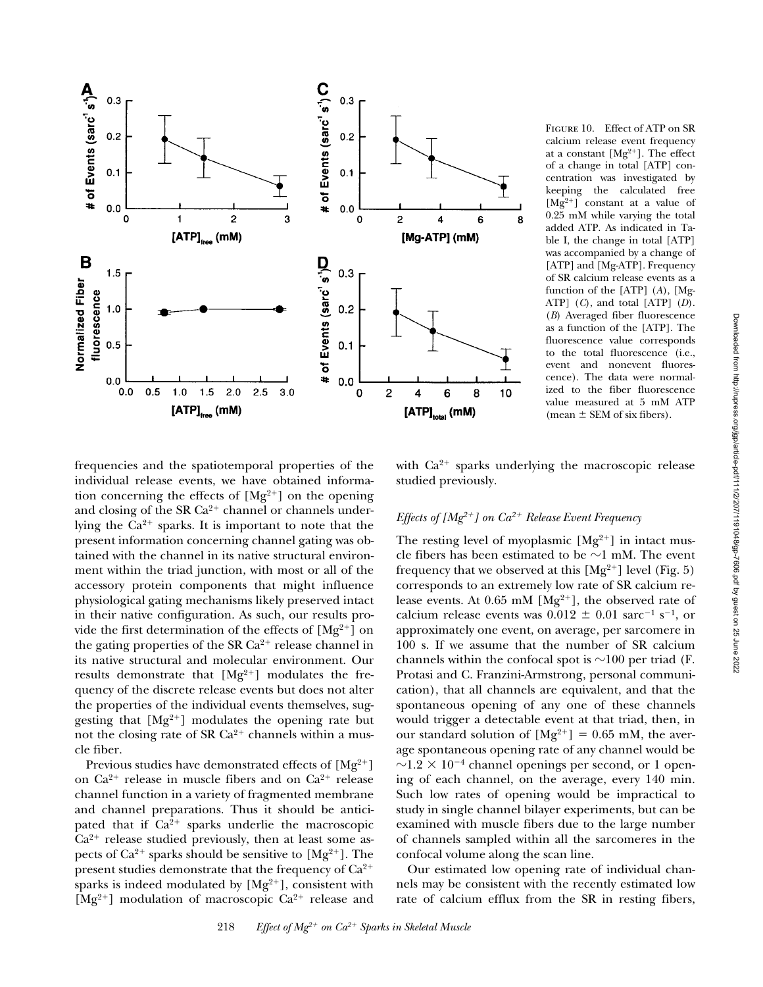

Figure 10. Effect of ATP on SR calcium release event frequency at a constant  $[Mg^{2+}]$ . The effect of a change in total [ATP] concentration was investigated by keeping the calculated free  $[Mg^{2+}]$  constant at a value of 0.25 mM while varying the total added ATP. As indicated in Table I, the change in total [ATP] was accompanied by a change of [ATP] and [Mg-ATP]. Frequency of SR calcium release events as a function of the [ATP] (*A*), [Mg-ATP] (*C*), and total [ATP] (*D*). (*B*) Averaged fiber fluorescence as a function of the [ATP]. The fluorescence value corresponds to the total fluorescence (i.e., event and nonevent fluorescence). The data were normalized to the fiber fluorescence value measured at 5 mM ATP (mean  $\pm$  SEM of six fibers).

frequencies and the spatiotemporal properties of the individual release events, we have obtained information concerning the effects of  $[Mg^{2+}]$  on the opening and closing of the SR  $Ca^{2+}$  channel or channels underlying the  $Ca^{2+}$  sparks. It is important to note that the present information concerning channel gating was obtained with the channel in its native structural environment within the triad junction, with most or all of the accessory protein components that might influence physiological gating mechanisms likely preserved intact in their native configuration. As such, our results provide the first determination of the effects of  $[Mg^{2+}]$  on the gating properties of the SR  $Ca^{2+}$  release channel in its native structural and molecular environment. Our results demonstrate that  $[Mg^{2+}]$  modulates the frequency of the discrete release events but does not alter the properties of the individual events themselves, suggesting that  $[Mg^{2+}]$  modulates the opening rate but not the closing rate of SR  $Ca^{2+}$  channels within a muscle fiber.

Previous studies have demonstrated effects of  $[Mg^{2+}]$ on  $Ca^{2+}$  release in muscle fibers and on  $Ca^{2+}$  release channel function in a variety of fragmented membrane and channel preparations. Thus it should be anticipated that if  $Ca^{2+}$  sparks underlie the macroscopic  $Ca^{2+}$  release studied previously, then at least some aspects of  $Ca^{2+}$  sparks should be sensitive to  $[Mg^{2+}]$ . The present studies demonstrate that the frequency of  $Ca^{2+}$ sparks is indeed modulated by  $[Mg^{2+}]$ , consistent with  $[Mg^{2+}]$  modulation of macroscopic  $Ca^{2+}$  release and

with  $Ca^{2+}$  sparks underlying the macroscopic release studied previously.

# *Effects of*  $[Mg^{2+}]$  *on*  $Ca^{2+}$  *Release Event Frequency*

The resting level of myoplasmic  $[Mg^{2+}]$  in intact muscle fibers has been estimated to be  $\sim$ 1 mM. The event frequency that we observed at this  $[Mg^{2+}]$  level (Fig. 5) corresponds to an extremely low rate of SR calcium release events. At 0.65 mM  $[Mg^{2+}]$ , the observed rate of calcium release events was  $0.012 \pm 0.01$  sarc<sup>-1</sup> s<sup>-1</sup>, or approximately one event, on average, per sarcomere in 100 s. If we assume that the number of SR calcium channels within the confocal spot is  $\sim$ 100 per triad (F. Protasi and C. Franzini-Armstrong, personal communication), that all channels are equivalent, and that the spontaneous opening of any one of these channels would trigger a detectable event at that triad, then, in our standard solution of  $[Mg^{2+}] = 0.65$  mM, the average spontaneous opening rate of any channel would be  $\sim$ 1.2  $\times$  10<sup>-4</sup> channel openings per second, or 1 opening of each channel, on the average, every 140 min. Such low rates of opening would be impractical to study in single channel bilayer experiments, but can be examined with muscle fibers due to the large number of channels sampled within all the sarcomeres in the confocal volume along the scan line.

Our estimated low opening rate of individual channels may be consistent with the recently estimated low rate of calcium efflux from the SR in resting fibers,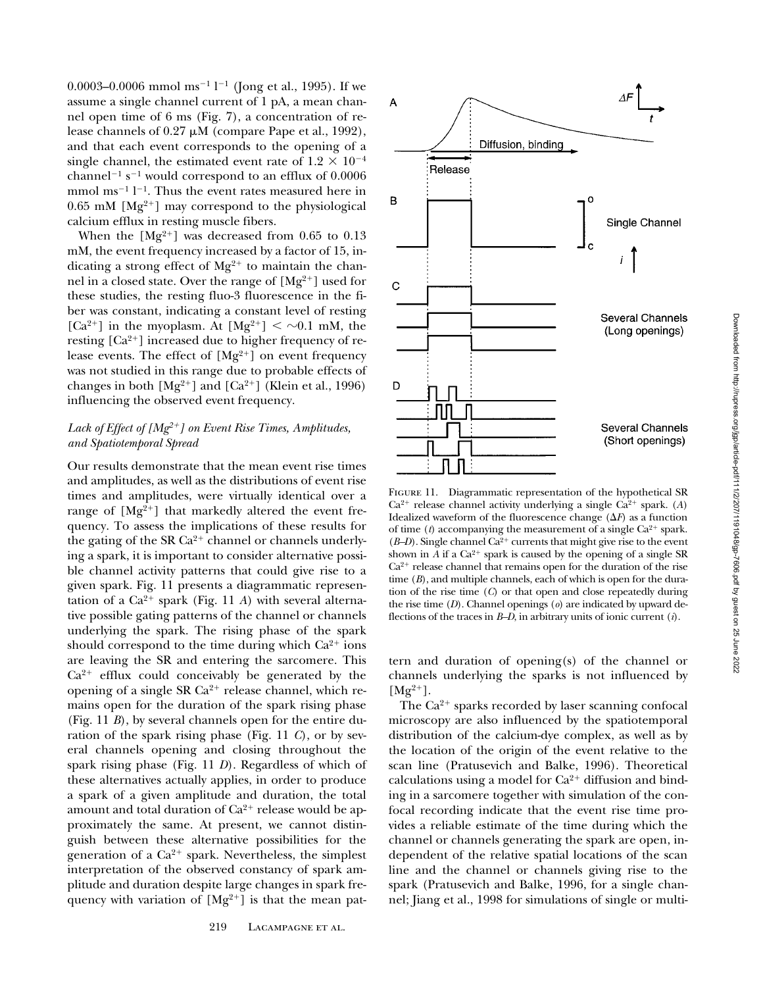0.0003–0.0006 mmol ms<sup>-1</sup> l<sup>-1</sup> (Jong et al., 1995). If we assume a single channel current of 1 pA, a mean channel open time of 6 ms (Fig. 7), a concentration of release channels of  $0.27 \mu M$  (compare Pape et al., 1992), and that each event corresponds to the opening of a single channel, the estimated event rate of  $1.2 \times 10^{-4}$ channel<sup>-1</sup> s<sup>-1</sup> would correspond to an efflux of 0.0006 mmol  $ms^{-1}$  l<sup>-1</sup>. Thus the event rates measured here in 0.65 mM  $[Mg^{2+}]$  may correspond to the physiological calcium efflux in resting muscle fibers.

When the  $[Mg^{2+}]$  was decreased from 0.65 to 0.13 mM, the event frequency increased by a factor of 15, indicating a strong effect of  $Mg^{2+}$  to maintain the channel in a closed state. Over the range of  $[Mg^{2+}]$  used for these studies, the resting fluo-3 fluorescence in the fiber was constant, indicating a constant level of resting [Ca<sup>2+</sup>] in the myoplasm. At  $[Mg^{2+}] < \sim 0.1$  mM, the resting  $[Ca^{2+}]$  increased due to higher frequency of release events. The effect of  $[Mg^{2+}]$  on event frequency was not studied in this range due to probable effects of changes in both  $[Mg^{2+}]$  and  $[Ca^{2+}]$  (Klein et al., 1996) influencing the observed event frequency.

# Lack of Effect of [Mg<sup>2+</sup>] on Event Rise Times, Amplitudes, *and Spatiotemporal Spread*

Our results demonstrate that the mean event rise times and amplitudes, as well as the distributions of event rise times and amplitudes, were virtually identical over a range of  $[Mg^{2+}]$  that markedly altered the event frequency. To assess the implications of these results for the gating of the SR  $Ca^{2+}$  channel or channels underlying a spark, it is important to consider alternative possible channel activity patterns that could give rise to a given spark. Fig. 11 presents a diagrammatic representation of a  $Ca^{2+}$  spark (Fig. 11 *A*) with several alternative possible gating patterns of the channel or channels underlying the spark. The rising phase of the spark should correspond to the time during which  $Ca^{2+}$  ions are leaving the SR and entering the sarcomere. This  $Ca<sup>2+</sup>$  efflux could conceivably be generated by the opening of a single SR  $Ca^{2+}$  release channel, which remains open for the duration of the spark rising phase (Fig. 11 *B*), by several channels open for the entire duration of the spark rising phase (Fig. 11 *C*), or by several channels opening and closing throughout the spark rising phase (Fig. 11 *D*). Regardless of which of these alternatives actually applies, in order to produce a spark of a given amplitude and duration, the total amount and total duration of  $Ca^{2+}$  release would be approximately the same. At present, we cannot distinguish between these alternative possibilities for the generation of a  $Ca^{2+}$  spark. Nevertheless, the simplest interpretation of the observed constancy of spark amplitude and duration despite large changes in spark frequency with variation of  $[Mg^{2+}]$  is that the mean pat-



FIGURE 11. Diagrammatic representation of the hypothetical SR  $Ca^{2+}$  release channel activity underlying a single  $Ca^{2+}$  spark. (*A*) Idealized waveform of the fluorescence change  $(\Delta F)$  as a function of time  $(t)$  accompanying the measurement of a single  $Ca<sup>2+</sup>$  spark.  $(B-D)$ . Single channel Ca<sup>2+</sup> currents that might give rise to the event shown in *A* if a  $Ca^{2+}$  spark is caused by the opening of a single SR  $Ca<sup>2+</sup>$  release channel that remains open for the duration of the rise time (*B*), and multiple channels, each of which is open for the duration of the rise time (*C*) or that open and close repeatedly during the rise time (*D*). Channel openings (*o*) are indicated by upward deflections of the traces in *B–D*, in arbitrary units of ionic current (*i*).

tern and duration of opening(s) of the channel or channels underlying the sparks is not influenced by  $[Mg^{2+}].$ 

The  $Ca^{2+}$  sparks recorded by laser scanning confocal microscopy are also influenced by the spatiotemporal distribution of the calcium-dye complex, as well as by the location of the origin of the event relative to the scan line (Pratusevich and Balke, 1996). Theoretical calculations using a model for  $Ca^{2+}$  diffusion and binding in a sarcomere together with simulation of the confocal recording indicate that the event rise time provides a reliable estimate of the time during which the channel or channels generating the spark are open, independent of the relative spatial locations of the scan line and the channel or channels giving rise to the spark (Pratusevich and Balke, 1996, for a single channel; Jiang et al., 1998 for simulations of single or multi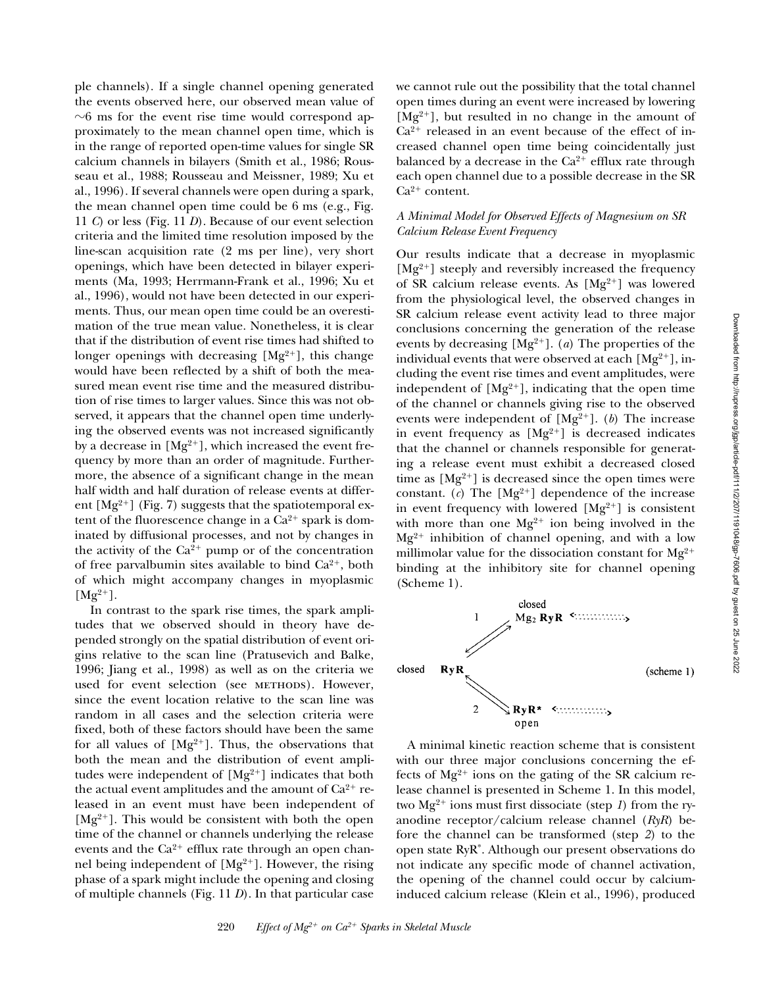ple channels). If a single channel opening generated the events observed here, our observed mean value of  $\sim$ 6 ms for the event rise time would correspond approximately to the mean channel open time, which is in the range of reported open-time values for single SR calcium channels in bilayers (Smith et al., 1986; Rousseau et al., 1988; Rousseau and Meissner, 1989; Xu et al., 1996). If several channels were open during a spark, the mean channel open time could be 6 ms (e.g., Fig. 11 *C*) or less (Fig. 11 *D*). Because of our event selection criteria and the limited time resolution imposed by the line-scan acquisition rate (2 ms per line), very short openings, which have been detected in bilayer experiments (Ma, 1993; Herrmann-Frank et al., 1996; Xu et al., 1996), would not have been detected in our experiments. Thus, our mean open time could be an overestimation of the true mean value. Nonetheless, it is clear that if the distribution of event rise times had shifted to longer openings with decreasing  $[Mg^{2+}]$ , this change would have been reflected by a shift of both the measured mean event rise time and the measured distribution of rise times to larger values. Since this was not observed, it appears that the channel open time underlying the observed events was not increased significantly by a decrease in  $[Mg^{2+}]$ , which increased the event frequency by more than an order of magnitude. Furthermore, the absence of a significant change in the mean half width and half duration of release events at different  $[Mg^{2+}]$  (Fig. 7) suggests that the spatiotemporal extent of the fluorescence change in a  $Ca^{2+}$  spark is dominated by diffusional processes, and not by changes in the activity of the  $Ca^{2+}$  pump or of the concentration of free parval bumin sites available to bind  $Ca^{2+}$ , both of which might accompany changes in myoplasmic  $[Mg^{2+}].$ 

 In contrast to the spark rise times, the spark amplitudes that we observed should in theory have depended strongly on the spatial distribution of event origins relative to the scan line (Pratusevich and Balke, 1996; Jiang et al., 1998) as well as on the criteria we used for event selection (see METHODS). However, since the event location relative to the scan line was random in all cases and the selection criteria were fixed, both of these factors should have been the same for all values of  $[Mg^{2+}]$ . Thus, the observations that both the mean and the distribution of event amplitudes were independent of  $[Mg^{2+}]$  indicates that both the actual event amplitudes and the amount of  $Ca^{2+}$  released in an event must have been independent of  $[Mg^{2+}]$ . This would be consistent with both the open time of the channel or channels underlying the release events and the  $Ca^{2+}$  efflux rate through an open channel being independent of  $[Mg^{2+}]$ . However, the rising phase of a spark might include the opening and closing of multiple channels (Fig. 11 *D*). In that particular case

we cannot rule out the possibility that the total channel open times during an event were increased by lowering  $[Mg^{2+}]$ , but resulted in no change in the amount of  $Ca^{2+}$  released in an event because of the effect of increased channel open time being coincidentally just balanced by a decrease in the  $Ca^{2+}$  efflux rate through each open channel due to a possible decrease in the SR  $Ca^{2+}$  content.

### *A Minimal Model for Observed Effects of Magnesium on SR Calcium Release Event Frequency*

Our results indicate that a decrease in myoplasmic  $[Mg^{2+}]$  steeply and reversibly increased the frequency of SR calcium release events. As  $[Mg^{2+}]$  was lowered from the physiological level, the observed changes in SR calcium release event activity lead to three major conclusions concerning the generation of the release events by decreasing  $[Mg^{2+}]$ . (*a*) The properties of the individual events that were observed at each  $[Mg^{2+}]$ , including the event rise times and event amplitudes, were independent of  $[Mg^{2+}]$ , indicating that the open time of the channel or channels giving rise to the observed events were independent of  $[Mg^{2+}]$ . (*b*) The increase in event frequency as  $[Mg^{2+}]$  is decreased indicates that the channel or channels responsible for generating a release event must exhibit a decreased closed time as  $[Mg^{2+}]$  is decreased since the open times were constant.  $(c)$  The  $[Mg^{2+}]$  dependence of the increase in event frequency with lowered  $[Mg^{2+}]$  is consistent with more than one  $Mg^{2+}$  ion being involved in the  $Mg^{2+}$  inhibition of channel opening, and with a low millimolar value for the dissociation constant for  $Mg^{2+}$ binding at the inhibitory site for channel opening (Scheme 1).



A minimal kinetic reaction scheme that is consistent with our three major conclusions concerning the effects of  $Mg^{2+}$  ions on the gating of the SR calcium release channel is presented in Scheme 1. In this model, two  $Mg^{2+}$  ions must first dissociate (step 1) from the ryanodine receptor/calcium release channel (*RyR*) before the channel can be transformed (step *2*) to the open state RyR\*. Although our present observations do not indicate any specific mode of channel activation, the opening of the channel could occur by calciuminduced calcium release (Klein et al., 1996), produced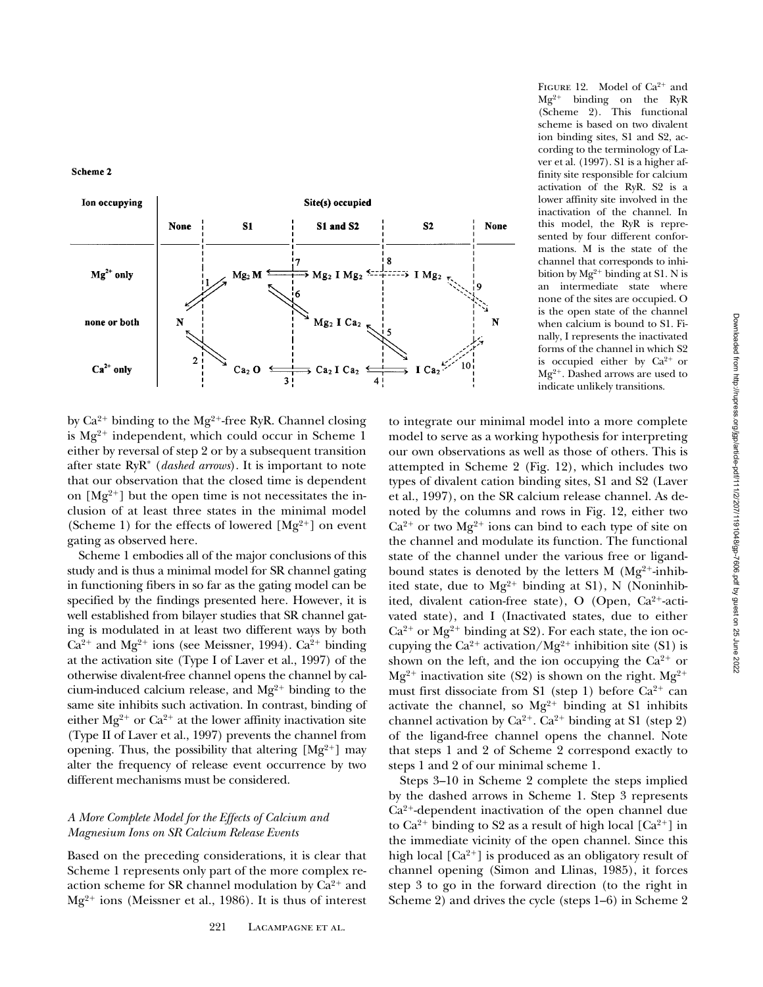Scheme 2



by  $Ca^{2+}$  binding to the Mg<sup>2+</sup>-free RyR. Channel closing is  $Mg^{2+}$  independent, which could occur in Scheme 1 either by reversal of step 2 or by a subsequent transition after state RyR\* (*dashed arrows*). It is important to note that our observation that the closed time is dependent on  $[Mg^{2+}]$  but the open time is not necessitates the inclusion of at least three states in the minimal model (Scheme 1) for the effects of lowered  $[Mg^{2+}]$  on event gating as observed here.

Scheme 1 embodies all of the major conclusions of this study and is thus a minimal model for SR channel gating in functioning fibers in so far as the gating model can be specified by the findings presented here. However, it is well established from bilayer studies that SR channel gating is modulated in at least two different ways by both  $Ca^{2+}$  and Mg<sup>2+</sup> ions (see Meissner, 1994).  $Ca^{2+}$  binding at the activation site (Type I of Laver et al., 1997) of the otherwise divalent-free channel opens the channel by calcium-induced calcium release, and  $Mg^{2+}$  binding to the same site inhibits such activation. In contrast, binding of either  $Mg^{2+}$  or  $Ca^{2+}$  at the lower affinity inactivation site (Type II of Laver et al., 1997) prevents the channel from opening. Thus, the possibility that altering  $[Mg^{2+}]$  may alter the frequency of release event occurrence by two different mechanisms must be considered.

## *A More Complete Model for the Effects of Calcium and Magnesium Ions on SR Calcium Release Events*

Based on the preceding considerations, it is clear that Scheme 1 represents only part of the more complex reaction scheme for SR channel modulation by  $Ca^{2+}$  and  $Mg^{2+}$  ions (Meissner et al., 1986). It is thus of interest

FIGURE 12. Model of  $Ca^{2+}$  and  $Mg^{2+}$  binding on the RyR (Scheme 2). This functional scheme is based on two divalent ion binding sites, S1 and S2, according to the terminology of Laver et al. (1997). S1 is a higher affinity site responsible for calcium activation of the RyR. S2 is a lower affinity site involved in the inactivation of the channel. In this model, the RyR is represented by four different conformations. M is the state of the channel that corresponds to inhibition by  $Mg^{2+}$  binding at S1. N is an intermediate state where none of the sites are occupied. O is the open state of the channel when calcium is bound to S1. Finally, I represents the inactivated forms of the channel in which S2 is occupied either by  $Ca^{2+}$  or  $Mg^{2+}$ . Dashed arrows are used to indicate unlikely transitions.

to integrate our minimal model into a more complete model to serve as a working hypothesis for interpreting our own observations as well as those of others. This is attempted in Scheme 2 (Fig. 12), which includes two types of divalent cation binding sites, S1 and S2 (Laver et al., 1997), on the SR calcium release channel. As denoted by the columns and rows in Fig. 12, either two  $Ca^{2+}$  or two  $Mg^{2+}$  ions can bind to each type of site on the channel and modulate its function. The functional state of the channel under the various free or ligandbound states is denoted by the letters M  $(Mg^{2+}$ -inhibited state, due to  $Mg^{2+}$  binding at S1), N (Noninhibited, divalent cation-free state), O (Open, Ca<sup>2+</sup>-activated state), and I (Inactivated states, due to either  $Ca^{2+}$  or Mg<sup>2+</sup> binding at S2). For each state, the ion occupying the  $Ca^{2+}$  activation/Mg<sup>2+</sup> inhibition site (S1) is shown on the left, and the ion occupying the  $Ca^{2+}$  or  $Mg^{2+}$  inactivation site (S2) is shown on the right.  $Mg^{2+}$ must first dissociate from S1 (step 1) before  $Ca^{2+}$  can activate the channel, so  $Mg^{2+}$  binding at S1 inhibits channel activation by  $Ca^{2+}$ .  $Ca^{2+}$  binding at S1 (step 2) of the ligand-free channel opens the channel. Note that steps 1 and 2 of Scheme 2 correspond exactly to steps 1 and 2 of our minimal scheme 1.

Steps 3–10 in Scheme 2 complete the steps implied by the dashed arrows in Scheme 1. Step 3 represents  $Ca<sup>2+</sup>$ -dependent inactivation of the open channel due to  $Ca^{2+}$  binding to S2 as a result of high local  $[Ca^{2+}]$  in the immediate vicinity of the open channel. Since this high local  $\lceil Ca^{2+} \rceil$  is produced as an obligatory result of channel opening (Simon and Llinas, 1985), it forces step 3 to go in the forward direction (to the right in Scheme 2) and drives the cycle (steps 1–6) in Scheme 2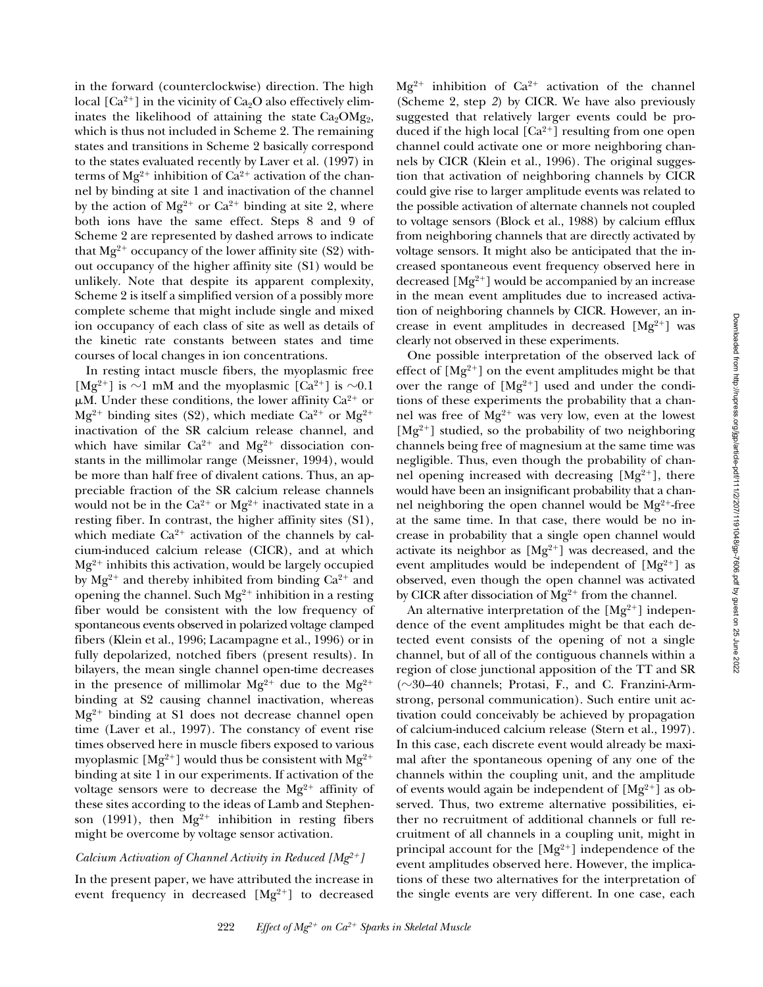in the forward (counterclockwise) direction. The high local  $[Ca^{2+}]$  in the vicinity of  $Ca<sub>2</sub>O$  also effectively eliminates the likelihood of attaining the state  $Ca<sub>2</sub>OMg<sub>2</sub>$ , which is thus not included in Scheme 2. The remaining states and transitions in Scheme 2 basically correspond to the states evaluated recently by Laver et al. (1997) in terms of  $Mg^{2+}$  inhibition of Ca<sup>2+</sup> activation of the channel by binding at site 1 and inactivation of the channel by the action of  $Mg^{2+}$  or  $Ca^{2+}$  binding at site 2, where both ions have the same effect. Steps 8 and 9 of Scheme 2 are represented by dashed arrows to indicate that  $Mg^{2+}$  occupancy of the lower affinity site (S2) without occupancy of the higher affinity site (S1) would be unlikely. Note that despite its apparent complexity, Scheme 2 is itself a simplified version of a possibly more complete scheme that might include single and mixed ion occupancy of each class of site as well as details of the kinetic rate constants between states and time courses of local changes in ion concentrations.

In resting intact muscle fibers, the myoplasmic free [Mg<sup>2+</sup>] is  $\sim$ 1 mM and the myoplasmic [Ca<sup>2+</sup>] is  $\sim$ 0.1  $\mu$ M. Under these conditions, the lower affinity Ca<sup>2+</sup> or  $Mg^{2+}$  binding sites (S2), which mediate Ca<sup>2+</sup> or Mg<sup>2+</sup> inactivation of the SR calcium release channel, and which have similar  $Ca^{2+}$  and  $Mg^{2+}$  dissociation constants in the millimolar range (Meissner, 1994), would be more than half free of divalent cations. Thus, an appreciable fraction of the SR calcium release channels would not be in the  $Ca^{2+}$  or  $Mg^{2+}$  inactivated state in a resting fiber. In contrast, the higher affinity sites (S1), which mediate  $Ca^{2+}$  activation of the channels by calcium-induced calcium release (CICR), and at which  $Mg^{2+}$  inhibits this activation, would be largely occupied by  $Mg^{2+}$  and thereby inhibited from binding  $Ca^{2+}$  and opening the channel. Such  $Mg^{2+}$  inhibition in a resting fiber would be consistent with the low frequency of spontaneous events observed in polarized voltage clamped fibers (Klein et al., 1996; Lacampagne et al., 1996) or in fully depolarized, notched fibers (present results). In bilayers, the mean single channel open-time decreases in the presence of millimolar  $Mg^{2+}$  due to the  $Mg^{2+}$ binding at S2 causing channel inactivation, whereas  $Mg^{2+}$  binding at S1 does not decrease channel open time (Laver et al., 1997). The constancy of event rise times observed here in muscle fibers exposed to various myoplasmic  $[Mg^{2+}]$  would thus be consistent with  $Mg^{2+}$ binding at site 1 in our experiments. If activation of the voltage sensors were to decrease the  $Mg^{2+}$  affinity of these sites according to the ideas of Lamb and Stephenson (1991), then  $Mg^{2+}$  inhibition in resting fibers might be overcome by voltage sensor activation.

#### *Calcium Activation of Channel Activity in Reduced [Mg<sup>2+</sup>]*

In the present paper, we have attributed the increase in event frequency in decreased  $[Mg^{2+}]$  to decreased  $Mg^{2+}$  inhibition of Ca<sup>2+</sup> activation of the channel (Scheme 2, step *2*) by CICR. We have also previously suggested that relatively larger events could be produced if the high local  $[Ca^{2+}]$  resulting from one open channel could activate one or more neighboring channels by CICR (Klein et al., 1996). The original suggestion that activation of neighboring channels by CICR could give rise to larger amplitude events was related to the possible activation of alternate channels not coupled to voltage sensors (Block et al., 1988) by calcium efflux from neighboring channels that are directly activated by voltage sensors. It might also be anticipated that the increased spontaneous event frequency observed here in decreased  $[Mg^{2+}]$  would be accompanied by an increase in the mean event amplitudes due to increased activation of neighboring channels by CICR. However, an increase in event amplitudes in decreased  $[Mg^{2+}]$  was clearly not observed in these experiments.

One possible interpretation of the observed lack of effect of  $[Mg^{2+}]$  on the event amplitudes might be that over the range of  $[Mg^{2+}]$  used and under the conditions of these experiments the probability that a channel was free of  $Mg^{2+}$  was very low, even at the lowest  $[Mg^{2+}]$  studied, so the probability of two neighboring channels being free of magnesium at the same time was negligible. Thus, even though the probability of channel opening increased with decreasing  $[Mg^{2+}]$ , there would have been an insignificant probability that a channel neighboring the open channel would be  $Mg^{2+}$ -free at the same time. In that case, there would be no increase in probability that a single open channel would activate its neighbor as  $[Mg^{2+}]$  was decreased, and the event amplitudes would be independent of  $[Mg^{2+}]$  as observed, even though the open channel was activated by CICR after dissociation of  $Mg^{2+}$  from the channel.

An alternative interpretation of the  $[Mg^{2+}]$  independence of the event amplitudes might be that each detected event consists of the opening of not a single channel, but of all of the contiguous channels within a region of close junctional apposition of the TT and SR ( $\sim$ 30–40 channels; Protasi, F., and C. Franzini-Armstrong, personal communication). Such entire unit activation could conceivably be achieved by propagation of calcium-induced calcium release (Stern et al., 1997). In this case, each discrete event would already be maximal after the spontaneous opening of any one of the channels within the coupling unit, and the amplitude of events would again be independent of  $[Mg^{2+}]$  as observed. Thus, two extreme alternative possibilities, either no recruitment of additional channels or full recruitment of all channels in a coupling unit, might in principal account for the  $[Mg^{2+}]$  independence of the event amplitudes observed here. However, the implications of these two alternatives for the interpretation of the single events are very different. In one case, each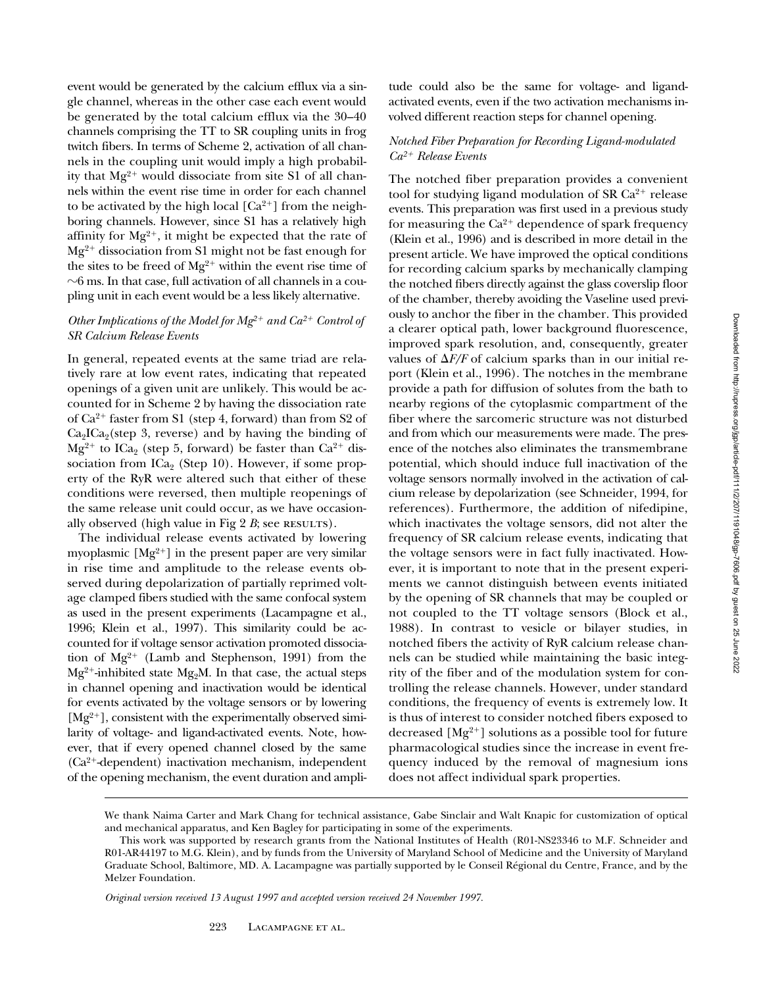event would be generated by the calcium efflux via a single channel, whereas in the other case each event would be generated by the total calcium efflux via the 30–40 channels comprising the TT to SR coupling units in frog twitch fibers. In terms of Scheme 2, activation of all channels in the coupling unit would imply a high probability that  $Mg^{2+}$  would dissociate from site S1 of all channels within the event rise time in order for each channel to be activated by the high local  $[Ca^{2+}]$  from the neighboring channels. However, since S1 has a relatively high affinity for  $Mg^{2+}$ , it might be expected that the rate of  $Mg^{2+}$  dissociation from S1 might not be fast enough for the sites to be freed of  $Mg^{2+}$  within the event rise time of  $\sim$ 6 ms. In that case, full activation of all channels in a coupling unit in each event would be a less likely alternative.

# *Other Implications of the Model for*  $Mg^{2+}$  *and*  $Ca^{2+}$  *Control of SR Calcium Release Events*

In general, repeated events at the same triad are relatively rare at low event rates, indicating that repeated openings of a given unit are unlikely. This would be accounted for in Scheme 2 by having the dissociation rate of  $Ca^{2+}$  faster from S1 (step 4, forward) than from S2 of  $Ca<sub>2</sub>ICa<sub>2</sub>$ (step 3, reverse) and by having the binding of  $Mg^{2+}$  to ICa<sub>2</sub> (step 5, forward) be faster than Ca<sup>2+</sup> dissociation from  $\text{ICa}_2$  (Step 10). However, if some property of the RyR were altered such that either of these conditions were reversed, then multiple reopenings of the same release unit could occur, as we have occasionally observed (high value in Fig  $2$   $B$ ; see RESULTS).

The individual release events activated by lowering myoplasmic  $[Mg^{2+}]$  in the present paper are very similar in rise time and amplitude to the release events observed during depolarization of partially reprimed voltage clamped fibers studied with the same confocal system as used in the present experiments (Lacampagne et al., 1996; Klein et al., 1997). This similarity could be accounted for if voltage sensor activation promoted dissociation of  $Mg^{2+}$  (Lamb and Stephenson, 1991) from the  $Mg^{2+}$ -inhibited state Mg<sub>2</sub>M. In that case, the actual steps in channel opening and inactivation would be identical for events activated by the voltage sensors or by lowering  $[Mg^{2+}]$ , consistent with the experimentally observed similarity of voltage- and ligand-activated events. Note, however, that if every opened channel closed by the same  $(Ca<sup>2+</sup> dependent)$  inactivation mechanism, independent of the opening mechanism, the event duration and ampli-

tude could also be the same for voltage- and ligandactivated events, even if the two activation mechanisms involved different reaction steps for channel opening.

## *Notched Fiber Preparation for Recording Ligand-modulated Ca2*1 *Release Events*

The notched fiber preparation provides a convenient tool for studying ligand modulation of SR  $Ca<sup>2+</sup>$  release events. This preparation was first used in a previous study for measuring the  $Ca^{2+}$  dependence of spark frequency (Klein et al., 1996) and is described in more detail in the present article. We have improved the optical conditions for recording calcium sparks by mechanically clamping the notched fibers directly against the glass coverslip floor of the chamber, thereby avoiding the Vaseline used previously to anchor the fiber in the chamber. This provided a clearer optical path, lower background fluorescence, improved spark resolution, and, consequently, greater values of  $\Delta F/F$  of calcium sparks than in our initial report (Klein et al., 1996). The notches in the membrane provide a path for diffusion of solutes from the bath to nearby regions of the cytoplasmic compartment of the fiber where the sarcomeric structure was not disturbed and from which our measurements were made. The presence of the notches also eliminates the transmembrane potential, which should induce full inactivation of the voltage sensors normally involved in the activation of calcium release by depolarization (see Schneider, 1994, for references). Furthermore, the addition of nifedipine, which inactivates the voltage sensors, did not alter the frequency of SR calcium release events, indicating that the voltage sensors were in fact fully inactivated. However, it is important to note that in the present experiments we cannot distinguish between events initiated by the opening of SR channels that may be coupled or not coupled to the TT voltage sensors (Block et al., 1988). In contrast to vesicle or bilayer studies, in notched fibers the activity of RyR calcium release channels can be studied while maintaining the basic integrity of the fiber and of the modulation system for controlling the release channels. However, under standard conditions, the frequency of events is extremely low. It is thus of interest to consider notched fibers exposed to decreased  $[Mg^{2+}]$  solutions as a possible tool for future pharmacological studies since the increase in event frequency induced by the removal of magnesium ions does not affect individual spark properties.

*Original version received 13 August 1997 and accepted version received 24 November 1997.*

We thank Naima Carter and Mark Chang for technical assistance, Gabe Sinclair and Walt Knapic for customization of optical and mechanical apparatus, and Ken Bagley for participating in some of the experiments.

This work was supported by research grants from the National Institutes of Health (R01-NS23346 to M.F. Schneider and R01-AR44197 to M.G. Klein), and by funds from the University of Maryland School of Medicine and the University of Maryland Graduate School, Baltimore, MD. A. Lacampagne was partially supported by le Conseil Régional du Centre, France, and by the Melzer Foundation.